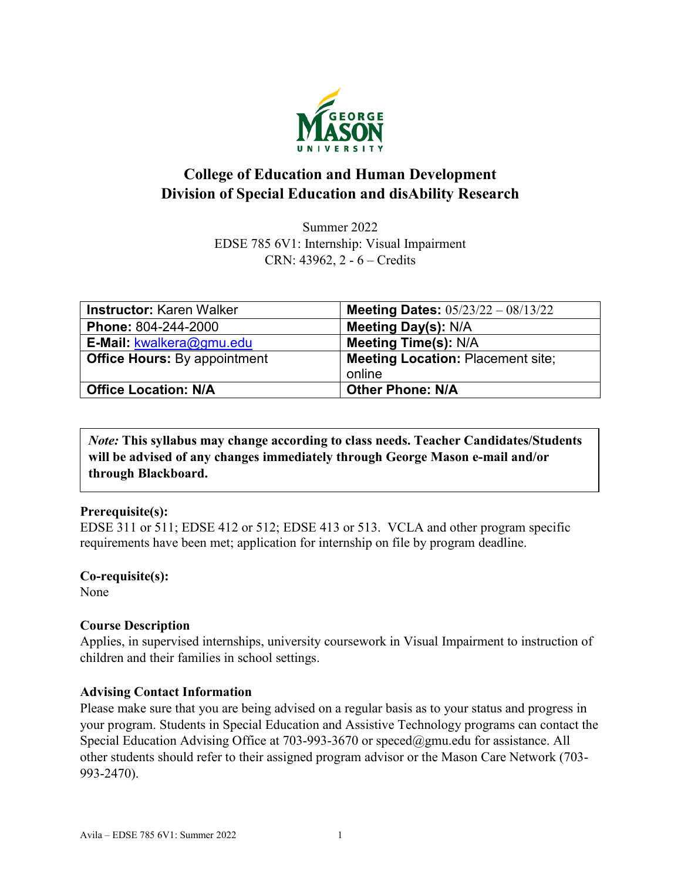

# **College of Education and Human Development Division of Special Education and disAbility Research**

Summer 2022 EDSE 785 6V1: Internship: Visual Impairment CRN: 43962, 2 - 6 – Credits

| <b>Instructor: Karen Walker</b>     | Meeting Dates: $05/23/22 - 08/13/22$     |
|-------------------------------------|------------------------------------------|
| Phone: 804-244-2000                 | <b>Meeting Day(s): N/A</b>               |
| E-Mail: kwalkera@gmu.edu            | <b>Meeting Time(s): N/A</b>              |
| <b>Office Hours: By appointment</b> | <b>Meeting Location: Placement site;</b> |
|                                     | online                                   |
| <b>Office Location: N/A</b>         | <b>Other Phone: N/A</b>                  |

*Note:* **This syllabus may change according to class needs. Teacher Candidates/Students will be advised of any changes immediately through George Mason e-mail and/or through Blackboard.**

#### **Prerequisite(s):**

EDSE 311 or 511; EDSE 412 or 512; EDSE 413 or 513. VCLA and other program specific requirements have been met; application for internship on file by program deadline.

**Co-requisite(s):** None

#### **Course Description**

Applies, in supervised internships, university coursework in Visual Impairment to instruction of children and their families in school settings.

#### **Advising Contact Information**

Please make sure that you are being advised on a regular basis as to your status and progress in your program. Students in Special Education and Assistive Technology programs can contact the Special Education Advising Office at 703-993-3670 or [speced@gmu.edu](mailto:speced@gmu.edu) for assistance. All other students should refer to their assigned program advisor or the Mason Care Network (703- 993-2470).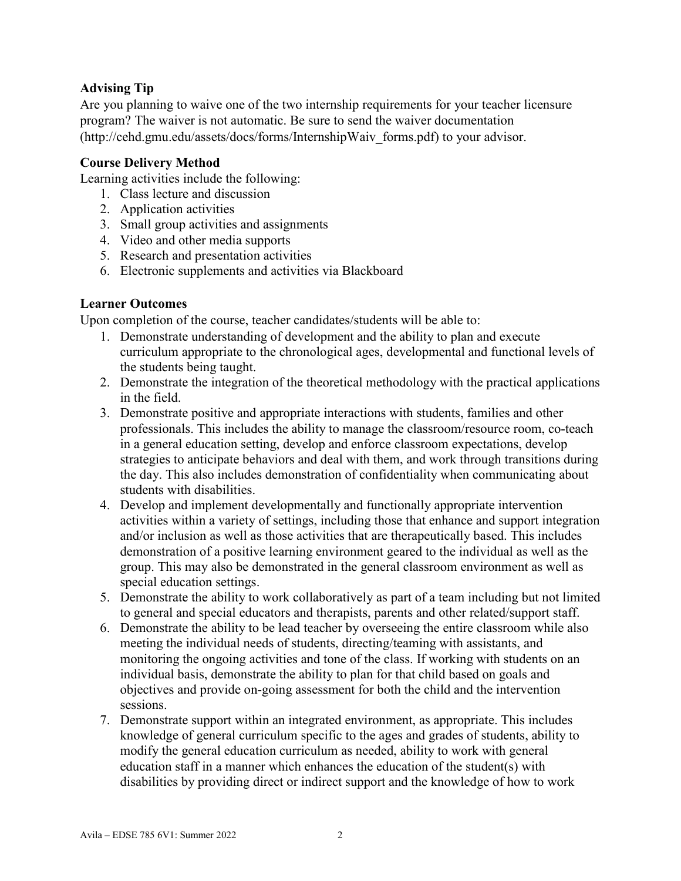### **Advising Tip**

Are you planning to waive one of the two internship requirements for your teacher licensure program? The waiver is not automatic. Be sure to send the waiver documentation (http://cehd.gmu.edu/assets/docs/forms/InternshipWaiv\_forms.pdf) to your advisor.

### **Course Delivery Method**

Learning activities include the following:

- 1. Class lecture and discussion
- 2. Application activities
- 3. Small group activities and assignments
- 4. Video and other media supports
- 5. Research and presentation activities
- 6. Electronic supplements and activities via Blackboard

### **Learner Outcomes**

Upon completion of the course, teacher candidates/students will be able to:

- 1. Demonstrate understanding of development and the ability to plan and execute curriculum appropriate to the chronological ages, developmental and functional levels of the students being taught.
- 2. Demonstrate the integration of the theoretical methodology with the practical applications in the field.
- 3. Demonstrate positive and appropriate interactions with students, families and other professionals. This includes the ability to manage the classroom/resource room, co-teach in a general education setting, develop and enforce classroom expectations, develop strategies to anticipate behaviors and deal with them, and work through transitions during the day. This also includes demonstration of confidentiality when communicating about students with disabilities.
- 4. Develop and implement developmentally and functionally appropriate intervention activities within a variety of settings, including those that enhance and support integration and/or inclusion as well as those activities that are therapeutically based. This includes demonstration of a positive learning environment geared to the individual as well as the group. This may also be demonstrated in the general classroom environment as well as special education settings.
- 5. Demonstrate the ability to work collaboratively as part of a team including but not limited to general and special educators and therapists, parents and other related/support staff.
- 6. Demonstrate the ability to be lead teacher by overseeing the entire classroom while also meeting the individual needs of students, directing/teaming with assistants, and monitoring the ongoing activities and tone of the class. If working with students on an individual basis, demonstrate the ability to plan for that child based on goals and objectives and provide on-going assessment for both the child and the intervention sessions.
- 7. Demonstrate support within an integrated environment, as appropriate. This includes knowledge of general curriculum specific to the ages and grades of students, ability to modify the general education curriculum as needed, ability to work with general education staff in a manner which enhances the education of the student(s) with disabilities by providing direct or indirect support and the knowledge of how to work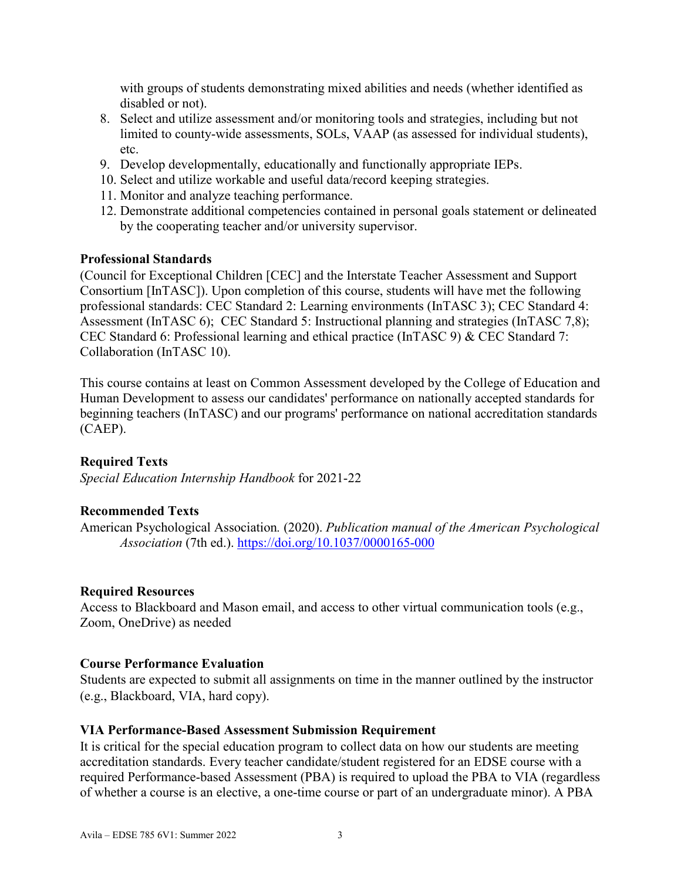with groups of students demonstrating mixed abilities and needs (whether identified as disabled or not).

- 8. Select and utilize assessment and/or monitoring tools and strategies, including but not limited to county-wide assessments, SOLs, VAAP (as assessed for individual students), etc.
- 9. Develop developmentally, educationally and functionally appropriate IEPs.
- 10. Select and utilize workable and useful data/record keeping strategies.
- 11. Monitor and analyze teaching performance.
- 12. Demonstrate additional competencies contained in personal goals statement or delineated by the cooperating teacher and/or university supervisor.

#### **Professional Standards**

(Council for Exceptional Children [CEC] and the Interstate Teacher Assessment and Support Consortium [InTASC]). Upon completion of this course, students will have met the following professional standards: CEC Standard 2: Learning environments (InTASC 3); CEC Standard 4: Assessment (InTASC 6); CEC Standard 5: Instructional planning and strategies (InTASC 7,8); CEC Standard 6: Professional learning and ethical practice (InTASC 9) & CEC Standard 7: Collaboration (InTASC 10).

This course contains at least on Common Assessment developed by the College of Education and Human Development to assess our candidates' performance on nationally accepted standards for beginning teachers (InTASC) and our programs' performance on national accreditation standards (CAEP).

#### **Required Texts**

*Special Education Internship Handbook* for 2021-22

### **Recommended Texts**

American Psychological Association*.* (2020). *Publication manual of the American Psychological Association* (7th ed.). <https://doi.org/10.1037/0000165-000>

#### **Required Resources**

Access to Blackboard and Mason email, and access to other virtual communication tools (e.g., Zoom, OneDrive) as needed

#### **Course Performance Evaluation**

Students are expected to submit all assignments on time in the manner outlined by the instructor (e.g., Blackboard, VIA, hard copy).

#### **VIA Performance-Based Assessment Submission Requirement**

It is critical for the special education program to collect data on how our students are meeting accreditation standards. Every teacher candidate/student registered for an EDSE course with a required Performance-based Assessment (PBA) is required to upload the PBA to VIA (regardless of whether a course is an elective, a one-time course or part of an undergraduate minor). A PBA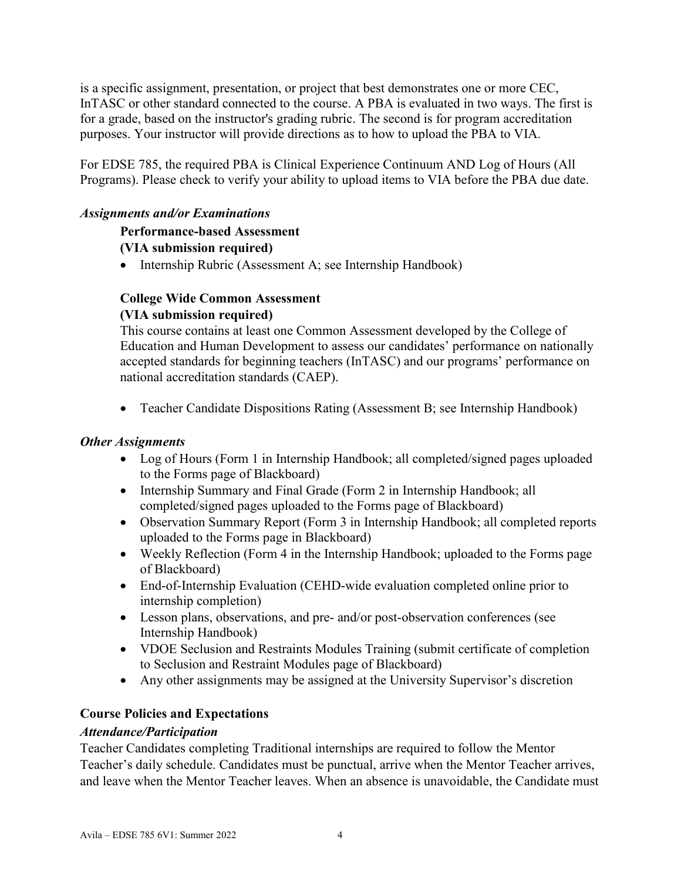is a specific assignment, presentation, or project that best demonstrates one or more CEC, InTASC or other standard connected to the course. A PBA is evaluated in two ways. The first is for a grade, based on the instructor's grading rubric. The second is for program accreditation purposes. Your instructor will provide directions as to how to upload the PBA to VIA.

For EDSE 785, the required PBA is Clinical Experience Continuum AND Log of Hours (All Programs). Please check to verify your ability to upload items to VIA before the PBA due date.

### *Assignments and/or Examinations*

# **Performance-based Assessment**

#### **(VIA submission required)**

• Internship Rubric (Assessment A; see Internship Handbook)

#### **College Wide Common Assessment (VIA submission required)**

This course contains at least one Common Assessment developed by the College of Education and Human Development to assess our candidates' performance on nationally accepted standards for beginning teachers (InTASC) and our programs' performance on national accreditation standards (CAEP).

• Teacher Candidate Dispositions Rating (Assessment B; see Internship Handbook)

#### *Other Assignments*

- Log of Hours (Form 1 in Internship Handbook; all completed/signed pages uploaded to the Forms page of Blackboard)
- Internship Summary and Final Grade (Form 2 in Internship Handbook; all completed/signed pages uploaded to the Forms page of Blackboard)
- Observation Summary Report (Form 3 in Internship Handbook; all completed reports uploaded to the Forms page in Blackboard)
- Weekly Reflection (Form 4 in the Internship Handbook; uploaded to the Forms page of Blackboard)
- End-of-Internship Evaluation (CEHD-wide evaluation completed online prior to internship completion)
- Lesson plans, observations, and pre- and/or post-observation conferences (see Internship Handbook)
- VDOE Seclusion and Restraints Modules Training (submit certificate of completion to Seclusion and Restraint Modules page of Blackboard)
- Any other assignments may be assigned at the University Supervisor's discretion

### **Course Policies and Expectations**

#### *Attendance/Participation*

Teacher Candidates completing Traditional internships are required to follow the Mentor Teacher's daily schedule. Candidates must be punctual, arrive when the Mentor Teacher arrives, and leave when the Mentor Teacher leaves. When an absence is unavoidable, the Candidate must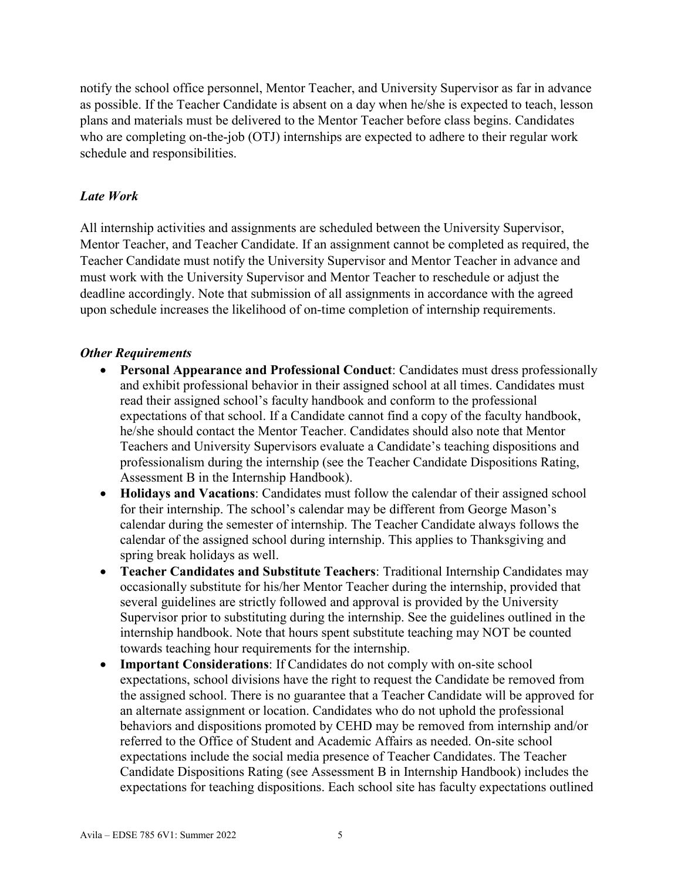notify the school office personnel, Mentor Teacher, and University Supervisor as far in advance as possible. If the Teacher Candidate is absent on a day when he/she is expected to teach, lesson plans and materials must be delivered to the Mentor Teacher before class begins. Candidates who are completing on-the-job (OTJ) internships are expected to adhere to their regular work schedule and responsibilities.

### *Late Work*

All internship activities and assignments are scheduled between the University Supervisor, Mentor Teacher, and Teacher Candidate. If an assignment cannot be completed as required, the Teacher Candidate must notify the University Supervisor and Mentor Teacher in advance and must work with the University Supervisor and Mentor Teacher to reschedule or adjust the deadline accordingly. Note that submission of all assignments in accordance with the agreed upon schedule increases the likelihood of on-time completion of internship requirements.

### *Other Requirements*

- **Personal Appearance and Professional Conduct**: Candidates must dress professionally and exhibit professional behavior in their assigned school at all times. Candidates must read their assigned school's faculty handbook and conform to the professional expectations of that school. If a Candidate cannot find a copy of the faculty handbook, he/she should contact the Mentor Teacher. Candidates should also note that Mentor Teachers and University Supervisors evaluate a Candidate's teaching dispositions and professionalism during the internship (see the Teacher Candidate Dispositions Rating, Assessment B in the Internship Handbook).
- **Holidays and Vacations**: Candidates must follow the calendar of their assigned school for their internship. The school's calendar may be different from George Mason's calendar during the semester of internship. The Teacher Candidate always follows the calendar of the assigned school during internship. This applies to Thanksgiving and spring break holidays as well.
- **Teacher Candidates and Substitute Teachers**: Traditional Internship Candidates may occasionally substitute for his/her Mentor Teacher during the internship, provided that several guidelines are strictly followed and approval is provided by the University Supervisor prior to substituting during the internship. See the guidelines outlined in the internship handbook. Note that hours spent substitute teaching may NOT be counted towards teaching hour requirements for the internship.
- **Important Considerations**: If Candidates do not comply with on-site school expectations, school divisions have the right to request the Candidate be removed from the assigned school. There is no guarantee that a Teacher Candidate will be approved for an alternate assignment or location. Candidates who do not uphold the professional behaviors and dispositions promoted by CEHD may be removed from internship and/or referred to the Office of Student and Academic Affairs as needed. On-site school expectations include the social media presence of Teacher Candidates. The Teacher Candidate Dispositions Rating (see Assessment B in Internship Handbook) includes the expectations for teaching dispositions. Each school site has faculty expectations outlined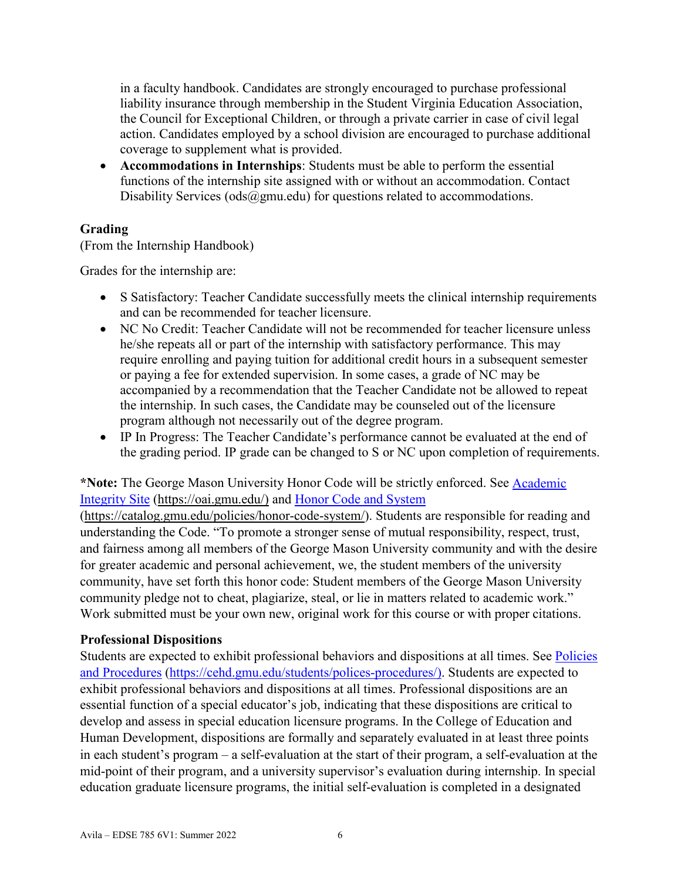in a faculty handbook. Candidates are strongly encouraged to purchase professional liability insurance through membership in the Student Virginia Education Association, the Council for Exceptional Children, or through a private carrier in case of civil legal action. Candidates employed by a school division are encouraged to purchase additional coverage to supplement what is provided.

• **Accommodations in Internships**: Students must be able to perform the essential functions of the internship site assigned with or without an accommodation. Contact Disability Services ( $ods@gmu.edu$ ) for questions related to accommodations.

### **Grading**

(From the Internship Handbook)

Grades for the internship are:

- S Satisfactory: Teacher Candidate successfully meets the clinical internship requirements and can be recommended for teacher licensure.
- NC No Credit: Teacher Candidate will not be recommended for teacher licensure unless he/she repeats all or part of the internship with satisfactory performance. This may require enrolling and paying tuition for additional credit hours in a subsequent semester or paying a fee for extended supervision. In some cases, a grade of NC may be accompanied by a recommendation that the Teacher Candidate not be allowed to repeat the internship. In such cases, the Candidate may be counseled out of the licensure program although not necessarily out of the degree program.
- IP In Progress: The Teacher Candidate's performance cannot be evaluated at the end of the grading period. IP grade can be changed to S or NC upon completion of requirements.

# **\*Note:** The George Mason University Honor Code will be strictly enforced. See [Academic](https://oai.gmu.edu/)  [Integrity Site \(https://oai.gmu.edu/\)](https://oai.gmu.edu/) and [Honor Code and System](https://catalog.gmu.edu/policies/honor-code-system/)

[\(https://catalog.gmu.edu/policies/honor-code-system/\)](https://catalog.gmu.edu/policies/honor-code-system/). Students are responsible for reading and understanding the Code. "To promote a stronger sense of mutual responsibility, respect, trust, and fairness among all members of the George Mason University community and with the desire for greater academic and personal achievement, we, the student members of the university community, have set forth this honor code: Student members of the George Mason University community pledge not to cheat, plagiarize, steal, or lie in matters related to academic work." Work submitted must be your own new, original work for this course or with proper citations.

### **Professional Dispositions**

Students are expected to exhibit professional behaviors and dispositions at all times. See Policies [and Procedures \(https://cehd.gmu.edu/students/polices-procedures/\)](https://cehd.gmu.edu/students/polices-procedures/). Students are expected to exhibit professional behaviors and dispositions at all times. Professional dispositions are an essential function of a special educator's job, indicating that these dispositions are critical to develop and assess in special education licensure programs. In the College of Education and Human Development, dispositions are formally and separately evaluated in at least three points in each student's program – a self-evaluation at the start of their program, a self-evaluation at the mid-point of their program, and a university supervisor's evaluation during internship. In special education graduate licensure programs, the initial self-evaluation is completed in a designated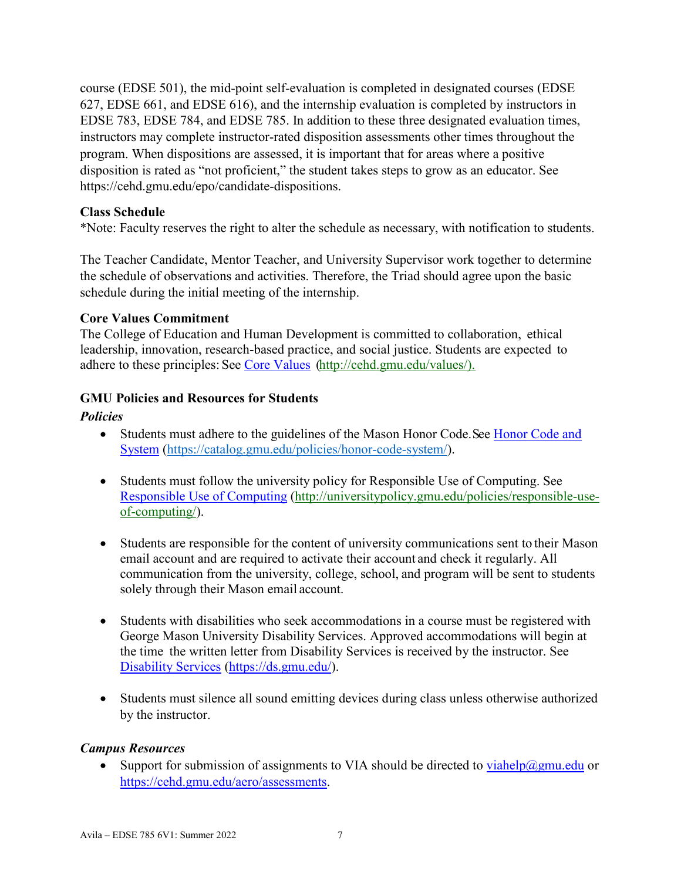course (EDSE 501), the mid-point self-evaluation is completed in designated courses (EDSE 627, EDSE 661, and EDSE 616), and the internship evaluation is completed by instructors in EDSE 783, EDSE 784, and EDSE 785. In addition to these three designated evaluation times, instructors may complete instructor-rated disposition assessments other times throughout the program. When dispositions are assessed, it is important that for areas where a positive disposition is rated as "not proficient," the student takes steps to grow as an educator. See https://cehd.gmu.edu/epo/candidate-dispositions.

#### **Class Schedule**

\*Note: Faculty reserves the right to alter the schedule as necessary, with notification to students.

The Teacher Candidate, Mentor Teacher, and University Supervisor work together to determine the schedule of observations and activities. Therefore, the Triad should agree upon the basic schedule during the initial meeting of the internship.

#### **Core Values Commitment**

The College of Education and Human Development is committed to collaboration, ethical leadership, innovation, research-based practice, and social justice. Students are expected to adhere to these principles: See [Core Values \(http://cehd.gmu.edu/values/\)](http://cehd.gmu.edu/values/).

#### **GMU Policies and Resources for Students**

#### *Policies*

- Students must adhere to the guidelines of the Mason Honor Code. See Honor Code and [System \(https://catalog.gmu.edu/policies/honor-code-system/\)](https://catalog.gmu.edu/policies/honor-code-system/).
- Students must follow the university policy for Responsible Use of Computing. See [Responsible Use of Computing \(http://universitypolicy.gmu.edu/policies/responsible-use](http://universitypolicy.gmu.edu/policies/responsible-use-of-computing/)[of-computing/\)](http://universitypolicy.gmu.edu/policies/responsible-use-of-computing/).
- Students are responsible for the content of university communications sent to their Mason email account and are required to activate their account and check it regularly. All communication from the university, college, school, and program will be sent to students solely through their Mason email account.
- Students with disabilities who seek accommodations in a course must be registered with George Mason University Disability Services. Approved accommodations will begin at the time the written letter from Disability Services is received by the instructor. See [Disability Services \(https://ds.gmu.edu/\)](https://ds.gmu.edu/).
- Students must silence all sound emitting devices during class unless otherwise authorized by the instructor.

### *Campus Resources*

• Support for submission of assignments to VIA should be directed to [viahelp@gmu.edu](mailto:viahelp@gmu.edu) or [https://cehd.gmu.edu/aero/assessments.](https://cehd.gmu.edu/aero/assessments)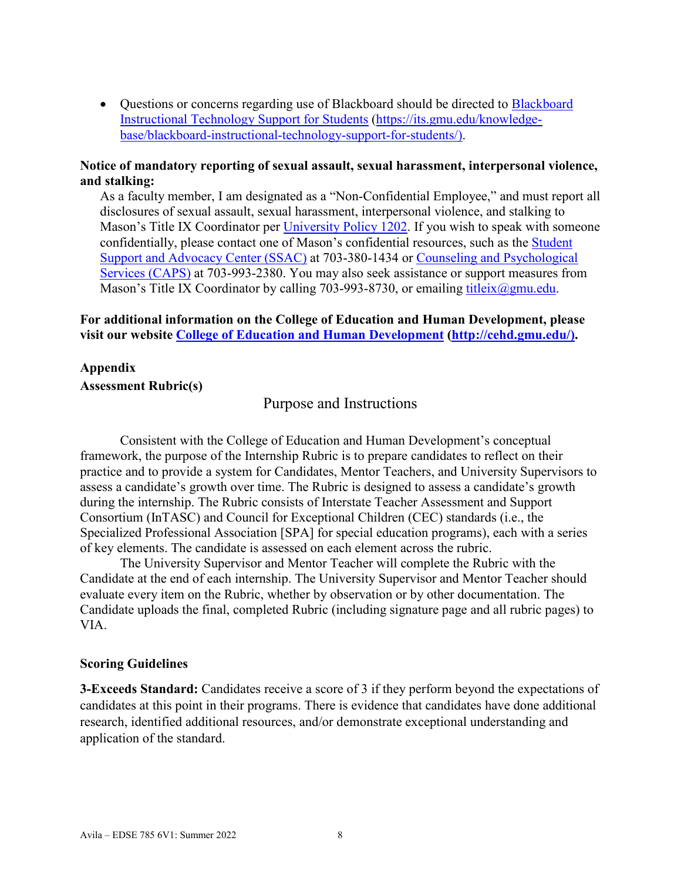• Questions or concerns regarding use of [Blackboard](https://its.gmu.edu/knowledge-base/blackboard-instructional-technology-support-for-students/) should be directed to Blackboard [Instructional Technology Support for Students \(https://its.gmu.edu/knowledge](https://its.gmu.edu/knowledge-base/blackboard-instructional-technology-support-for-students/)[base/blackboard-instructional-technology-support-for-students/\)](https://its.gmu.edu/knowledge-base/blackboard-instructional-technology-support-for-students/).

#### **Notice of mandatory reporting of sexual assault, sexual harassment, interpersonal violence, and stalking:**

As a faculty member, I am designated as a "Non-Confidential Employee," and must report all disclosures of sexual assault, sexual harassment, interpersonal violence, and stalking to Mason's Title IX Coordinator per [University Policy 1202.](https://universitypolicy.gmu.edu/policies/sexual-harassment-policy/) If you wish to speak with someone confidentially, please contact one of Mason's confidential resources, such as the [Student](https://ssac.gmu.edu/)  [Support and Advocacy Center \(SSAC\)](https://ssac.gmu.edu/) at 703-380-1434 or [Counseling and Psychological](https://caps.gmu.edu/)  [Services \(CAPS\)](https://caps.gmu.edu/) at 703-993-2380. You may also seek assistance or support measures from Mason's Title IX Coordinator by calling 703-993-8730, or emailing titleix $\omega$ gmu.edu.

#### **For additional information on the College of Education and Human Development, please visit our website [College of Education and Human Development](http://cehd.gmu.edu/) [\(http://cehd.gmu.edu/\)](https://cehd.gmu.edu/).**

#### **Appendix Assessment Rubric(s)**

#### Purpose and Instructions

 Consistent with the College of Education and Human Development's conceptual framework, the purpose of the Internship Rubric is to prepare candidates to reflect on their practice and to provide a system for Candidates, Mentor Teachers, and University Supervisors to assess a candidate's growth over time. The Rubric is designed to assess a candidate's growth during the internship. The Rubric consists of Interstate Teacher Assessment and Support Consortium (InTASC) and Council for Exceptional Children (CEC) standards (i.e., the Specialized Professional Association [SPA] for special education programs), each with a series of key elements. The candidate is assessed on each element across the rubric.

 The University Supervisor and Mentor Teacher will complete the Rubric with the Candidate at the end of each internship. The University Supervisor and Mentor Teacher should evaluate every item on the Rubric, whether by observation or by other documentation. The Candidate uploads the final, completed Rubric (including signature page and all rubric pages) to VIA.

#### **Scoring Guidelines**

**3-Exceeds Standard:** Candidates receive a score of 3 if they perform beyond the expectations of candidates at this point in their programs. There is evidence that candidates have done additional research, identified additional resources, and/or demonstrate exceptional understanding and application of the standard.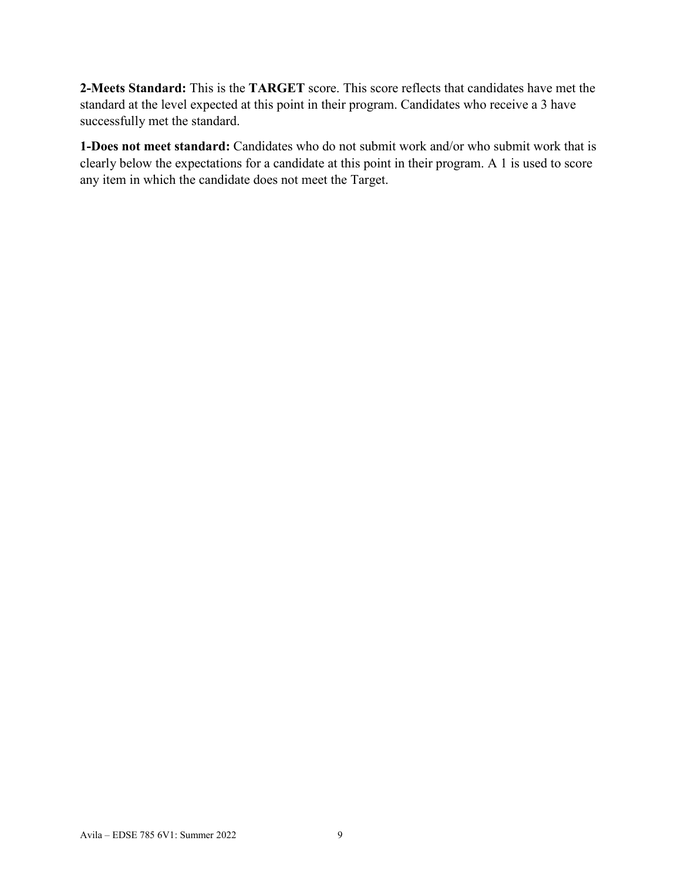**2-Meets Standard:** This is the **TARGET** score. This score reflects that candidates have met the standard at the level expected at this point in their program. Candidates who receive a 3 have successfully met the standard.

**1-Does not meet standard:** Candidates who do not submit work and/or who submit work that is clearly below the expectations for a candidate at this point in their program. A 1 is used to score any item in which the candidate does not meet the Target.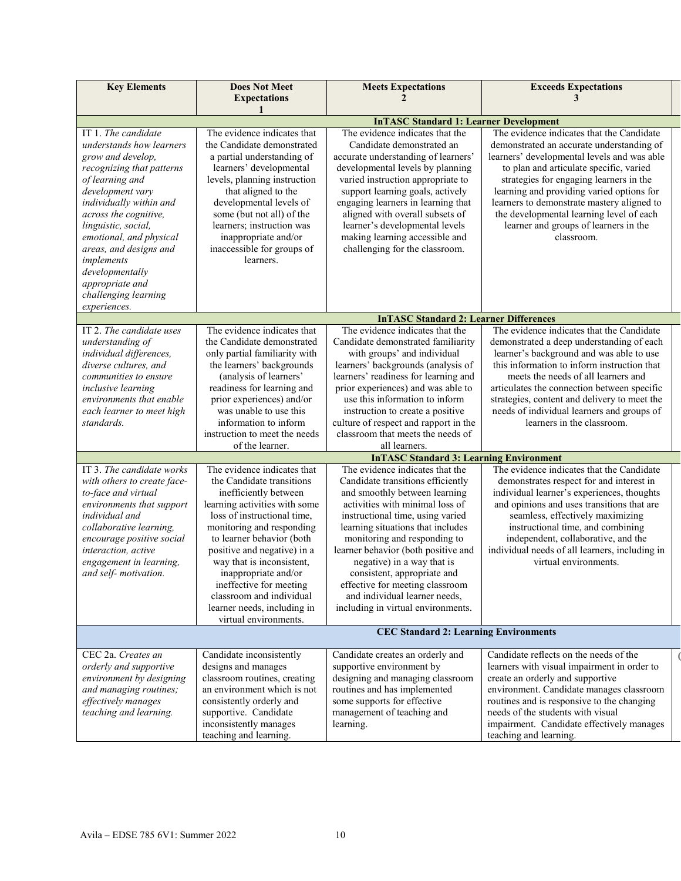| <b>Key Elements</b>                                                                                                                                                                                                                                                                                                                                  | <b>Does Not Meet</b><br><b>Expectations</b><br>1                                                                                                                                                                                                                                                                                  | <b>Meets Expectations</b>                                                                                                                                                                                                                                                                                                                                                                                                                       | <b>Exceeds Expectations</b><br>3                                                                                                                                                                                                                                                                                                                                                                                          |
|------------------------------------------------------------------------------------------------------------------------------------------------------------------------------------------------------------------------------------------------------------------------------------------------------------------------------------------------------|-----------------------------------------------------------------------------------------------------------------------------------------------------------------------------------------------------------------------------------------------------------------------------------------------------------------------------------|-------------------------------------------------------------------------------------------------------------------------------------------------------------------------------------------------------------------------------------------------------------------------------------------------------------------------------------------------------------------------------------------------------------------------------------------------|---------------------------------------------------------------------------------------------------------------------------------------------------------------------------------------------------------------------------------------------------------------------------------------------------------------------------------------------------------------------------------------------------------------------------|
|                                                                                                                                                                                                                                                                                                                                                      |                                                                                                                                                                                                                                                                                                                                   | <b>InTASC Standard 1: Learner Development</b>                                                                                                                                                                                                                                                                                                                                                                                                   |                                                                                                                                                                                                                                                                                                                                                                                                                           |
| IT 1. The candidate<br>understands how learners<br>grow and develop,<br>recognizing that patterns<br>of learning and<br>development vary<br>individually within and<br>across the cognitive,<br>linguistic, social,<br>emotional, and physical<br>areas, and designs and<br>implements<br>developmentally<br>appropriate and<br>challenging learning | The evidence indicates that<br>the Candidate demonstrated<br>a partial understanding of<br>learners' developmental<br>levels, planning instruction<br>that aligned to the<br>developmental levels of<br>some (but not all) of the<br>learners; instruction was<br>inappropriate and/or<br>inaccessible for groups of<br>learners. | The evidence indicates that the<br>Candidate demonstrated an<br>accurate understanding of learners'<br>developmental levels by planning<br>varied instruction appropriate to<br>support learning goals, actively<br>engaging learners in learning that<br>aligned with overall subsets of<br>learner's developmental levels<br>making learning accessible and<br>challenging for the classroom.                                                 | The evidence indicates that the Candidate<br>demonstrated an accurate understanding of<br>learners' developmental levels and was able<br>to plan and articulate specific, varied<br>strategies for engaging learners in the<br>learning and providing varied options for<br>learners to demonstrate mastery aligned to<br>the developmental learning level of each<br>learner and groups of learners in the<br>classroom. |
| experiences.                                                                                                                                                                                                                                                                                                                                         |                                                                                                                                                                                                                                                                                                                                   |                                                                                                                                                                                                                                                                                                                                                                                                                                                 |                                                                                                                                                                                                                                                                                                                                                                                                                           |
| IT 2. The candidate uses                                                                                                                                                                                                                                                                                                                             | The evidence indicates that                                                                                                                                                                                                                                                                                                       | <b>InTASC Standard 2: Learner Differences</b><br>The evidence indicates that the                                                                                                                                                                                                                                                                                                                                                                | The evidence indicates that the Candidate                                                                                                                                                                                                                                                                                                                                                                                 |
| understanding of<br>individual differences,<br>diverse cultures, and<br>communities to ensure<br>inclusive learning<br>environments that enable<br>each learner to meet high<br>standards.<br>IT 3. The candidate works                                                                                                                              | the Candidate demonstrated<br>only partial familiarity with<br>the learners' backgrounds<br>(analysis of learners'<br>readiness for learning and<br>prior experiences) and/or<br>was unable to use this<br>information to inform<br>instruction to meet the needs<br>of the learner.<br>The evidence indicates that               | Candidate demonstrated familiarity<br>with groups' and individual<br>learners' backgrounds (analysis of<br>learners' readiness for learning and<br>prior experiences) and was able to<br>use this information to inform<br>instruction to create a positive<br>culture of respect and rapport in the<br>classroom that meets the needs of<br>all learners.<br><b>InTASC Standard 3: Learning Environment</b><br>The evidence indicates that the | demonstrated a deep understanding of each<br>learner's background and was able to use<br>this information to inform instruction that<br>meets the needs of all learners and<br>articulates the connection between specific<br>strategies, content and delivery to meet the<br>needs of individual learners and groups of<br>learners in the classroom.<br>The evidence indicates that the Candidate                       |
| with others to create face-                                                                                                                                                                                                                                                                                                                          | the Candidate transitions                                                                                                                                                                                                                                                                                                         | Candidate transitions efficiently                                                                                                                                                                                                                                                                                                                                                                                                               | demonstrates respect for and interest in                                                                                                                                                                                                                                                                                                                                                                                  |
| to-face and virtual<br>environments that support<br>individual and<br>collaborative learning,<br>encourage positive social<br>interaction, active                                                                                                                                                                                                    | inefficiently between<br>learning activities with some<br>loss of instructional time,<br>monitoring and responding<br>to learner behavior (both<br>positive and negative) in a                                                                                                                                                    | and smoothly between learning<br>activities with minimal loss of<br>instructional time, using varied<br>learning situations that includes<br>monitoring and responding to<br>learner behavior (both positive and                                                                                                                                                                                                                                | individual learner's experiences, thoughts<br>and opinions and uses transitions that are<br>seamless, effectively maximizing<br>instructional time, and combining<br>independent, collaborative, and the<br>individual needs of all learners, including in                                                                                                                                                                |
| engagement in learning,<br>and self- motivation.                                                                                                                                                                                                                                                                                                     | way that is inconsistent,<br>inappropriate and/or<br>ineffective for meeting<br>classroom and individual<br>learner needs, including in<br>virtual environments.                                                                                                                                                                  | negative) in a way that is<br>consistent, appropriate and<br>effective for meeting classroom<br>and individual learner needs,<br>including in virtual environments.                                                                                                                                                                                                                                                                             | virtual environments.                                                                                                                                                                                                                                                                                                                                                                                                     |
|                                                                                                                                                                                                                                                                                                                                                      |                                                                                                                                                                                                                                                                                                                                   | <b>CEC Standard 2: Learning Environments</b>                                                                                                                                                                                                                                                                                                                                                                                                    |                                                                                                                                                                                                                                                                                                                                                                                                                           |
| CEC 2a. Creates an<br>orderly and supportive<br>environment by designing<br>and managing routines;<br>effectively manages<br>teaching and learning.                                                                                                                                                                                                  | Candidate inconsistently<br>designs and manages<br>classroom routines, creating<br>an environment which is not<br>consistently orderly and<br>supportive. Candidate<br>inconsistently manages<br>teaching and learning.                                                                                                           | Candidate creates an orderly and<br>supportive environment by<br>designing and managing classroom<br>routines and has implemented<br>some supports for effective<br>management of teaching and<br>learning.                                                                                                                                                                                                                                     | Candidate reflects on the needs of the<br>learners with visual impairment in order to<br>create an orderly and supportive<br>environment. Candidate manages classroom<br>routines and is responsive to the changing<br>needs of the students with visual<br>impairment. Candidate effectively manages<br>teaching and learning.                                                                                           |

 $\overline{\mathcal{L}}$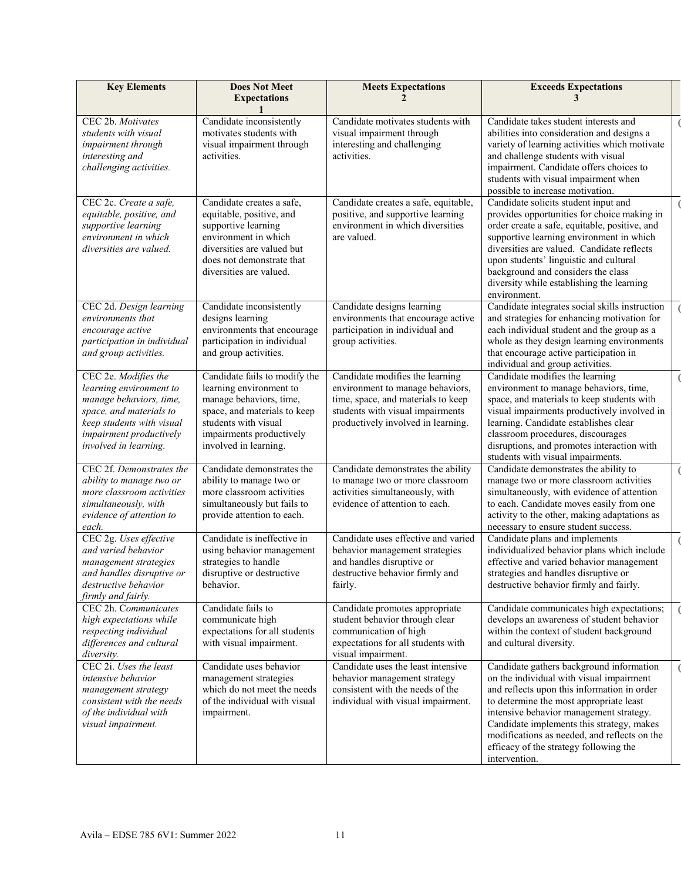| <b>Key Elements</b>                                                                                                                                                                    | <b>Does Not Meet</b><br><b>Expectations</b>                                                                                                                                                      | <b>Meets Expectations</b>                                                                                                                                                           | <b>Exceeds Expectations</b><br>3                                                                                                                                                                                                                                                                                                                                                  |  |
|----------------------------------------------------------------------------------------------------------------------------------------------------------------------------------------|--------------------------------------------------------------------------------------------------------------------------------------------------------------------------------------------------|-------------------------------------------------------------------------------------------------------------------------------------------------------------------------------------|-----------------------------------------------------------------------------------------------------------------------------------------------------------------------------------------------------------------------------------------------------------------------------------------------------------------------------------------------------------------------------------|--|
| CEC 2b. Motivates<br>students with visual<br>impairment through<br>interesting and<br>challenging activities.                                                                          | Candidate inconsistently<br>motivates students with<br>visual impairment through<br>activities.                                                                                                  | Candidate motivates students with<br>visual impairment through<br>interesting and challenging<br>activities.                                                                        | Candidate takes student interests and<br>abilities into consideration and designs a<br>variety of learning activities which motivate<br>and challenge students with visual<br>impairment. Candidate offers choices to<br>students with visual impairment when<br>possible to increase motivation.                                                                                 |  |
| CEC 2c. Create a safe,<br>equitable, positive, and<br>supportive learning<br>environment in which<br>diversities are valued.                                                           | Candidate creates a safe,<br>equitable, positive, and<br>supportive learning<br>environment in which<br>diversities are valued but<br>does not demonstrate that<br>diversities are valued.       | Candidate creates a safe, equitable,<br>positive, and supportive learning<br>environment in which diversities<br>are valued.                                                        | Candidate solicits student input and<br>provides opportunities for choice making in<br>order create a safe, equitable, positive, and<br>supportive learning environment in which<br>diversities are valued. Candidate reflects<br>upon students' linguistic and cultural<br>background and considers the class<br>diversity while establishing the learning<br>environment.       |  |
| CEC 2d. Design learning<br>environments that<br>encourage active<br>participation in individual<br>and group activities.                                                               | Candidate inconsistently<br>designs learning<br>environments that encourage<br>participation in individual<br>and group activities.                                                              | Candidate designs learning<br>environments that encourage active<br>participation in individual and<br>group activities.                                                            | Candidate integrates social skills instruction<br>and strategies for enhancing motivation for<br>each individual student and the group as a<br>whole as they design learning environments<br>that encourage active participation in<br>individual and group activities.                                                                                                           |  |
| CEC 2e. Modifies the<br>learning environment to<br>manage behaviors, time,<br>space, and materials to<br>keep students with visual<br>impairment productively<br>involved in learning. | Candidate fails to modify the<br>learning environment to<br>manage behaviors, time,<br>space, and materials to keep<br>students with visual<br>impairments productively<br>involved in learning. | Candidate modifies the learning<br>environment to manage behaviors,<br>time, space, and materials to keep<br>students with visual impairments<br>productively involved in learning. | Candidate modifies the learning<br>environment to manage behaviors, time,<br>space, and materials to keep students with<br>visual impairments productively involved in<br>learning. Candidate establishes clear<br>classroom procedures, discourages<br>disruptions, and promotes interaction with<br>students with visual impairments.                                           |  |
| CEC 2f. Demonstrates the<br>ability to manage two or<br>more classroom activities<br>simultaneously, with<br>evidence of attention to<br>each.                                         | Candidate demonstrates the<br>ability to manage two or<br>more classroom activities<br>simultaneously but fails to<br>provide attention to each.                                                 | Candidate demonstrates the ability<br>to manage two or more classroom<br>activities simultaneously, with<br>evidence of attention to each.                                          | Candidate demonstrates the ability to<br>manage two or more classroom activities<br>simultaneously, with evidence of attention<br>to each. Candidate moves easily from one<br>activity to the other, making adaptations as<br>necessary to ensure student success.                                                                                                                |  |
| CEC 2g. Uses effective<br>and varied behavior<br>management strategies<br>and handles disruptive or<br>destructive behavior<br>firmly and fairly.                                      | Candidate is ineffective in<br>using behavior management<br>strategies to handle<br>disruptive or destructive<br>behavior.                                                                       | Candidate uses effective and varied<br>behavior management strategies<br>and handles disruptive or<br>destructive behavior firmly and<br>fairly.                                    | Candidate plans and implements<br>individualized behavior plans which include<br>effective and varied behavior management<br>strategies and handles disruptive or<br>destructive behavior firmly and fairly.                                                                                                                                                                      |  |
| CEC 2h. Communicates<br>high expectations while<br>respecting individual<br>differences and cultural<br>diversity.                                                                     | Candidate fails to<br>communicate high<br>expectations for all students<br>with visual impairment.                                                                                               | Candidate promotes appropriate<br>student behavior through clear<br>communication of high<br>expectations for all students with<br>visual impairment.                               | Candidate communicates high expectations;<br>develops an awareness of student behavior<br>within the context of student background<br>and cultural diversity.                                                                                                                                                                                                                     |  |
| CEC 2i. Uses the least<br>intensive behavior<br>management strategy<br>consistent with the needs<br>of the individual with<br>visual impairment.                                       | Candidate uses behavior<br>management strategies<br>which do not meet the needs<br>of the individual with visual<br>impairment.                                                                  | Candidate uses the least intensive<br>behavior management strategy<br>consistent with the needs of the<br>individual with visual impairment.                                        | Candidate gathers background information<br>on the individual with visual impairment<br>and reflects upon this information in order<br>to determine the most appropriate least<br>intensive behavior management strategy.<br>Candidate implements this strategy, makes<br>modifications as needed, and reflects on the<br>efficacy of the strategy following the<br>intervention. |  |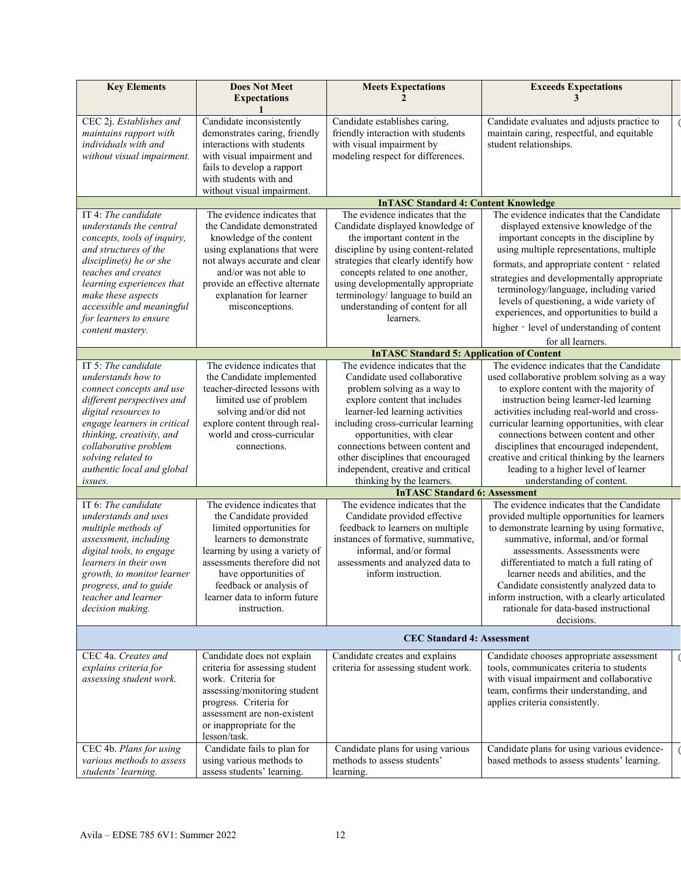| <b>Key Elements</b>                                                                                                                                                                                                                                                                                                                                                                                                                                                                                                                    | <b>Does Not Meet</b><br><b>Expectations</b>                                                                                                                                                                                                                                                                                                                                                                                                                                                                           | <b>Meets Expectations</b>                                                                                                                                                                                                                                                                                                                                                                                                                                                                                                                                                                                                                                    | <b>Exceeds Expectations</b><br>3                                                                                                                                                                                                                                                                                                                                                                                                                                                                                                                                                                                                                                                                                                                                                                                                                                                                                                                     |
|----------------------------------------------------------------------------------------------------------------------------------------------------------------------------------------------------------------------------------------------------------------------------------------------------------------------------------------------------------------------------------------------------------------------------------------------------------------------------------------------------------------------------------------|-----------------------------------------------------------------------------------------------------------------------------------------------------------------------------------------------------------------------------------------------------------------------------------------------------------------------------------------------------------------------------------------------------------------------------------------------------------------------------------------------------------------------|--------------------------------------------------------------------------------------------------------------------------------------------------------------------------------------------------------------------------------------------------------------------------------------------------------------------------------------------------------------------------------------------------------------------------------------------------------------------------------------------------------------------------------------------------------------------------------------------------------------------------------------------------------------|------------------------------------------------------------------------------------------------------------------------------------------------------------------------------------------------------------------------------------------------------------------------------------------------------------------------------------------------------------------------------------------------------------------------------------------------------------------------------------------------------------------------------------------------------------------------------------------------------------------------------------------------------------------------------------------------------------------------------------------------------------------------------------------------------------------------------------------------------------------------------------------------------------------------------------------------------|
| CEC 2j. Establishes and<br>maintains rapport with<br>individuals with and<br>without visual impairment.                                                                                                                                                                                                                                                                                                                                                                                                                                | Candidate inconsistently<br>demonstrates caring, friendly<br>interactions with students<br>with visual impairment and<br>fails to develop a rapport<br>with students with and<br>without visual impairment.                                                                                                                                                                                                                                                                                                           | Candidate establishes caring,<br>friendly interaction with students<br>with visual impairment by<br>modeling respect for differences.                                                                                                                                                                                                                                                                                                                                                                                                                                                                                                                        | Candidate evaluates and adjusts practice to<br>maintain caring, respectful, and equitable<br>student relationships.                                                                                                                                                                                                                                                                                                                                                                                                                                                                                                                                                                                                                                                                                                                                                                                                                                  |
|                                                                                                                                                                                                                                                                                                                                                                                                                                                                                                                                        |                                                                                                                                                                                                                                                                                                                                                                                                                                                                                                                       | <b>InTASC Standard 4: Content Knowledge</b>                                                                                                                                                                                                                                                                                                                                                                                                                                                                                                                                                                                                                  |                                                                                                                                                                                                                                                                                                                                                                                                                                                                                                                                                                                                                                                                                                                                                                                                                                                                                                                                                      |
| IT 4: The candidate<br>understands the central<br>concepts, tools of inquiry,<br>and structures of the<br>$discipher(s)$ he or she<br>teaches and creates<br>learning experiences that<br>make these aspects<br>accessible and meaningful<br>for learners to ensure                                                                                                                                                                                                                                                                    | The evidence indicates that<br>the Candidate demonstrated<br>knowledge of the content<br>using explanations that were<br>not always accurate and clear<br>and/or was not able to<br>provide an effective alternate<br>explanation for learner<br>misconceptions.                                                                                                                                                                                                                                                      | The evidence indicates that the<br>Candidate displayed knowledge of<br>the important content in the<br>discipline by using content-related<br>strategies that clearly identify how<br>concepts related to one another,<br>using developmentally appropriate<br>terminology/ language to build an<br>understanding of content for all<br>learners.                                                                                                                                                                                                                                                                                                            | The evidence indicates that the Candidate<br>displayed extensive knowledge of the<br>important concepts in the discipline by<br>using multiple representations, multiple<br>formats, and appropriate content - related<br>strategies and developmentally appropriate<br>terminology/language, including varied<br>levels of questioning, a wide variety of<br>experiences, and opportunities to build a<br>higher - level of understanding of content                                                                                                                                                                                                                                                                                                                                                                                                                                                                                                |
| content mastery.                                                                                                                                                                                                                                                                                                                                                                                                                                                                                                                       |                                                                                                                                                                                                                                                                                                                                                                                                                                                                                                                       |                                                                                                                                                                                                                                                                                                                                                                                                                                                                                                                                                                                                                                                              | for all learners.                                                                                                                                                                                                                                                                                                                                                                                                                                                                                                                                                                                                                                                                                                                                                                                                                                                                                                                                    |
|                                                                                                                                                                                                                                                                                                                                                                                                                                                                                                                                        |                                                                                                                                                                                                                                                                                                                                                                                                                                                                                                                       | <b>InTASC Standard 5: Application of Content</b>                                                                                                                                                                                                                                                                                                                                                                                                                                                                                                                                                                                                             |                                                                                                                                                                                                                                                                                                                                                                                                                                                                                                                                                                                                                                                                                                                                                                                                                                                                                                                                                      |
| IT 5: The candidate<br>understands how to<br>connect concepts and use<br>different perspectives and<br>digital resources to<br>engage learners in critical<br>thinking, creativity, and<br>collaborative problem<br>solving related to<br>authentic local and global<br>issues.<br>IT 6: The candidate<br>understands and uses<br>multiple methods of<br>assessment, including<br>digital tools, to engage<br>learners in their own<br>growth, to monitor learner<br>progress, and to guide<br>teacher and learner<br>decision making. | The evidence indicates that<br>the Candidate implemented<br>teacher-directed lessons with<br>limited use of problem<br>solving and/or did not<br>explore content through real-<br>world and cross-curricular<br>connections.<br>The evidence indicates that<br>the Candidate provided<br>limited opportunities for<br>learners to demonstrate<br>learning by using a variety of<br>assessments therefore did not<br>have opportunities of<br>feedback or analysis of<br>learner data to inform future<br>instruction. | The evidence indicates that the<br>Candidate used collaborative<br>problem solving as a way to<br>explore content that includes<br>learner-led learning activities<br>including cross-curricular learning<br>opportunities, with clear<br>connections between content and<br>other disciplines that encouraged<br>independent, creative and critical<br>thinking by the learners.<br><b>InTASC Standard 6: Assessment</b><br>The evidence indicates that the<br>Candidate provided effective<br>feedback to learners on multiple<br>instances of formative, summative,<br>informal, and/or formal<br>assessments and analyzed data to<br>inform instruction. | The evidence indicates that the Candidate<br>used collaborative problem solving as a way<br>to explore content with the majority of<br>instruction being learner-led learning<br>activities including real-world and cross-<br>curricular learning opportunities, with clear<br>connections between content and other<br>disciplines that encouraged independent,<br>creative and critical thinking by the learners<br>leading to a higher level of learner<br>understanding of content.<br>The evidence indicates that the Candidate<br>provided multiple opportunities for learners<br>to demonstrate learning by using formative,<br>summative, informal, and/or formal<br>assessments. Assessments were<br>differentiated to match a full rating of<br>learner needs and abilities, and the<br>Candidate consistently analyzed data to<br>inform instruction, with a clearly articulated<br>rationale for data-based instructional<br>decisions. |
|                                                                                                                                                                                                                                                                                                                                                                                                                                                                                                                                        |                                                                                                                                                                                                                                                                                                                                                                                                                                                                                                                       | <b>CEC Standard 4: Assessment</b>                                                                                                                                                                                                                                                                                                                                                                                                                                                                                                                                                                                                                            |                                                                                                                                                                                                                                                                                                                                                                                                                                                                                                                                                                                                                                                                                                                                                                                                                                                                                                                                                      |
| CEC 4a. Creates and<br>explains criteria for<br>assessing student work.                                                                                                                                                                                                                                                                                                                                                                                                                                                                | Candidate does not explain<br>criteria for assessing student<br>work. Criteria for<br>assessing/monitoring student<br>progress. Criteria for<br>assessment are non-existent<br>or inappropriate for the<br>lesson/task.                                                                                                                                                                                                                                                                                               | Candidate creates and explains<br>criteria for assessing student work.                                                                                                                                                                                                                                                                                                                                                                                                                                                                                                                                                                                       | Candidate chooses appropriate assessment<br>tools, communicates criteria to students<br>with visual impairment and collaborative<br>team, confirms their understanding, and<br>applies criteria consistently.                                                                                                                                                                                                                                                                                                                                                                                                                                                                                                                                                                                                                                                                                                                                        |
| CEC 4b. Plans for using<br>various methods to assess<br>students' learning.                                                                                                                                                                                                                                                                                                                                                                                                                                                            | Candidate fails to plan for<br>using various methods to<br>assess students' learning.                                                                                                                                                                                                                                                                                                                                                                                                                                 | Candidate plans for using various<br>methods to assess students'<br>learning.                                                                                                                                                                                                                                                                                                                                                                                                                                                                                                                                                                                | Candidate plans for using various evidence-<br>based methods to assess students' learning.                                                                                                                                                                                                                                                                                                                                                                                                                                                                                                                                                                                                                                                                                                                                                                                                                                                           |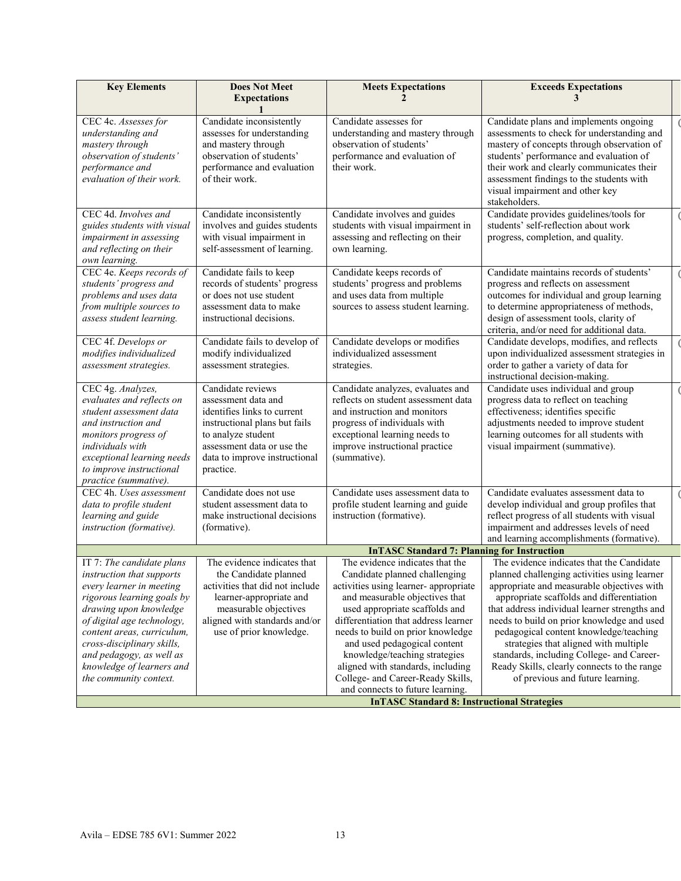| <b>Key Elements</b>                                                                                                                                                                                                                                                                           | <b>Does Not Meet</b><br><b>Expectations</b>                                                                                                                                                                | <b>Meets Expectations</b>                                                                                                                                                                                                                                                                                                                                       | <b>Exceeds Expectations</b><br>3                                                                                                                                                                                                                                                                                                                                                                                                                                   |
|-----------------------------------------------------------------------------------------------------------------------------------------------------------------------------------------------------------------------------------------------------------------------------------------------|------------------------------------------------------------------------------------------------------------------------------------------------------------------------------------------------------------|-----------------------------------------------------------------------------------------------------------------------------------------------------------------------------------------------------------------------------------------------------------------------------------------------------------------------------------------------------------------|--------------------------------------------------------------------------------------------------------------------------------------------------------------------------------------------------------------------------------------------------------------------------------------------------------------------------------------------------------------------------------------------------------------------------------------------------------------------|
| CEC 4c. Assesses for<br>understanding and<br>mastery through<br>observation of students'<br>performance and<br>evaluation of their work.                                                                                                                                                      | Candidate inconsistently<br>assesses for understanding<br>and mastery through<br>observation of students'<br>performance and evaluation<br>of their work.                                                  | Candidate assesses for<br>understanding and mastery through<br>observation of students'<br>performance and evaluation of<br>their work.                                                                                                                                                                                                                         | Candidate plans and implements ongoing<br>assessments to check for understanding and<br>mastery of concepts through observation of<br>students' performance and evaluation of<br>their work and clearly communicates their<br>assessment findings to the students with<br>visual impairment and other key<br>stakeholders.                                                                                                                                         |
| CEC 4d. Involves and<br>guides students with visual<br>impairment in assessing<br>and reflecting on their<br>own learning.                                                                                                                                                                    | Candidate inconsistently<br>involves and guides students<br>with visual impairment in<br>self-assessment of learning.                                                                                      | Candidate involves and guides<br>students with visual impairment in<br>assessing and reflecting on their<br>own learning.                                                                                                                                                                                                                                       | Candidate provides guidelines/tools for<br>students' self-reflection about work<br>progress, completion, and quality.                                                                                                                                                                                                                                                                                                                                              |
| CEC 4e. Keeps records of<br>students' progress and<br>problems and uses data<br>from multiple sources to<br>assess student learning.                                                                                                                                                          | Candidate fails to keep<br>records of students' progress<br>or does not use student<br>assessment data to make<br>instructional decisions.                                                                 | Candidate keeps records of<br>students' progress and problems<br>and uses data from multiple<br>sources to assess student learning.                                                                                                                                                                                                                             | Candidate maintains records of students'<br>progress and reflects on assessment<br>outcomes for individual and group learning<br>to determine appropriateness of methods,<br>design of assessment tools, clarity of<br>criteria, and/or need for additional data.                                                                                                                                                                                                  |
| CEC 4f. Develops or<br>modifies individualized<br>assessment strategies.                                                                                                                                                                                                                      | Candidate fails to develop of<br>modify individualized<br>assessment strategies.                                                                                                                           | Candidate develops or modifies<br>individualized assessment<br>strategies.                                                                                                                                                                                                                                                                                      | Candidate develops, modifies, and reflects<br>upon individualized assessment strategies in<br>order to gather a variety of data for<br>instructional decision-making.                                                                                                                                                                                                                                                                                              |
| CEC 4g. Analyzes,<br>evaluates and reflects on<br>student assessment data<br>and instruction and<br>monitors progress of<br>individuals with<br>exceptional learning needs<br>to improve instructional<br>practice (summative).                                                               | Candidate reviews<br>assessment data and<br>identifies links to current<br>instructional plans but fails<br>to analyze student<br>assessment data or use the<br>data to improve instructional<br>practice. | Candidate analyzes, evaluates and<br>reflects on student assessment data<br>and instruction and monitors<br>progress of individuals with<br>exceptional learning needs to<br>improve instructional practice<br>(summative).                                                                                                                                     | Candidate uses individual and group<br>progress data to reflect on teaching<br>effectiveness; identifies specific<br>adjustments needed to improve student<br>learning outcomes for all students with<br>visual impairment (summative).                                                                                                                                                                                                                            |
| CEC 4h. Uses assessment<br>data to profile student<br>learning and guide<br>instruction (formative).                                                                                                                                                                                          | Candidate does not use<br>student assessment data to<br>make instructional decisions<br>(formative).                                                                                                       | Candidate uses assessment data to<br>profile student learning and guide<br>instruction (formative).                                                                                                                                                                                                                                                             | Candidate evaluates assessment data to<br>develop individual and group profiles that<br>reflect progress of all students with visual<br>impairment and addresses levels of need<br>and learning accomplishments (formative).                                                                                                                                                                                                                                       |
|                                                                                                                                                                                                                                                                                               |                                                                                                                                                                                                            | <b>InTASC Standard 7: Planning for Instruction</b>                                                                                                                                                                                                                                                                                                              |                                                                                                                                                                                                                                                                                                                                                                                                                                                                    |
| IT 7: The candidate plans<br>instruction that supports<br>every learner in meeting<br>rigorous learning goals by<br>drawing upon knowledge<br>of digital age technology,<br>content areas, curriculum,<br>cross-disciplinary skills,<br>and pedagogy, as well as<br>knowledge of learners and | The evidence indicates that<br>the Candidate planned<br>activities that did not include<br>learner-appropriate and<br>measurable objectives<br>aligned with standards and/or<br>use of prior knowledge.    | The evidence indicates that the<br>Candidate planned challenging<br>activities using learner-appropriate<br>and measurable objectives that<br>used appropriate scaffolds and<br>differentiation that address learner<br>needs to build on prior knowledge<br>and used pedagogical content<br>knowledge/teaching strategies<br>aligned with standards, including | The evidence indicates that the Candidate<br>planned challenging activities using learner<br>appropriate and measurable objectives with<br>appropriate scaffolds and differentiation<br>that address individual learner strengths and<br>needs to build on prior knowledge and used<br>pedagogical content knowledge/teaching<br>strategies that aligned with multiple<br>standards, including College- and Career-<br>Ready Skills, clearly connects to the range |
| the community context.                                                                                                                                                                                                                                                                        |                                                                                                                                                                                                            | College- and Career-Ready Skills,<br>and connects to future learning.<br><b>InTASC Standard 8: Instructional Strategies</b>                                                                                                                                                                                                                                     | of previous and future learning.                                                                                                                                                                                                                                                                                                                                                                                                                                   |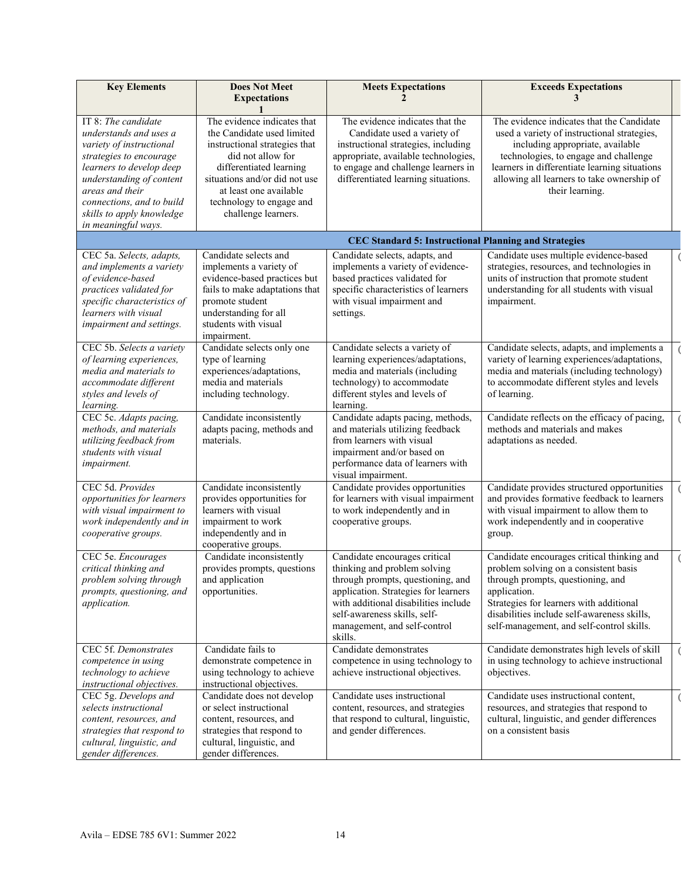| <b>Key Elements</b>                                                                                                                                                                                                                                              | <b>Does Not Meet</b><br><b>Expectations</b>                                                                                                                                                                                                              | <b>Meets Expectations</b>                                                                                                                                                                                                                                     | <b>Exceeds Expectations</b><br>3                                                                                                                                                                                                                                                        |
|------------------------------------------------------------------------------------------------------------------------------------------------------------------------------------------------------------------------------------------------------------------|----------------------------------------------------------------------------------------------------------------------------------------------------------------------------------------------------------------------------------------------------------|---------------------------------------------------------------------------------------------------------------------------------------------------------------------------------------------------------------------------------------------------------------|-----------------------------------------------------------------------------------------------------------------------------------------------------------------------------------------------------------------------------------------------------------------------------------------|
| IT 8: The candidate<br>understands and uses a<br>variety of instructional<br>strategies to encourage<br>learners to develop deep<br>understanding of content<br>areas and their<br>connections, and to build<br>skills to apply knowledge<br>in meaningful ways. | The evidence indicates that<br>the Candidate used limited<br>instructional strategies that<br>did not allow for<br>differentiated learning<br>situations and/or did not use<br>at least one available<br>technology to engage and<br>challenge learners. | The evidence indicates that the<br>Candidate used a variety of<br>instructional strategies, including<br>appropriate, available technologies,<br>to engage and challenge learners in<br>differentiated learning situations.                                   | The evidence indicates that the Candidate<br>used a variety of instructional strategies,<br>including appropriate, available<br>technologies, to engage and challenge<br>learners in differentiate learning situations<br>allowing all learners to take ownership of<br>their learning. |
|                                                                                                                                                                                                                                                                  |                                                                                                                                                                                                                                                          | <b>CEC Standard 5: Instructional Planning and Strategies</b>                                                                                                                                                                                                  |                                                                                                                                                                                                                                                                                         |
| CEC 5a. Selects, adapts,<br>and implements a variety<br>of evidence-based<br>practices validated for<br>specific characteristics of<br>learners with visual<br>impairment and settings.                                                                          | Candidate selects and<br>implements a variety of<br>evidence-based practices but<br>fails to make adaptations that<br>promote student<br>understanding for all<br>students with visual<br>impairment.                                                    | Candidate selects, adapts, and<br>implements a variety of evidence-<br>based practices validated for<br>specific characteristics of learners<br>with visual impairment and<br>settings.                                                                       | Candidate uses multiple evidence-based<br>strategies, resources, and technologies in<br>units of instruction that promote student<br>understanding for all students with visual<br>impairment.                                                                                          |
| CEC 5b. Selects a variety<br>of learning experiences,<br>media and materials to<br>accommodate different<br>styles and levels of<br>learning.                                                                                                                    | Candidate selects only one<br>type of learning<br>experiences/adaptations,<br>media and materials<br>including technology.                                                                                                                               | Candidate selects a variety of<br>learning experiences/adaptations,<br>media and materials (including<br>technology) to accommodate<br>different styles and levels of<br>learning.                                                                            | Candidate selects, adapts, and implements a<br>variety of learning experiences/adaptations,<br>media and materials (including technology)<br>to accommodate different styles and levels<br>of learning.                                                                                 |
| CEC 5c. Adapts pacing,<br>methods, and materials<br>utilizing feedback from<br>students with visual<br>impairment.                                                                                                                                               | Candidate inconsistently<br>adapts pacing, methods and<br>materials.                                                                                                                                                                                     | Candidate adapts pacing, methods,<br>and materials utilizing feedback<br>from learners with visual<br>impairment and/or based on<br>performance data of learners with<br>visual impairment.                                                                   | Candidate reflects on the efficacy of pacing,<br>methods and materials and makes<br>adaptations as needed.                                                                                                                                                                              |
| CEC 5d. Provides<br>opportunities for learners<br>with visual impairment to<br>work independently and in<br>cooperative groups.                                                                                                                                  | Candidate inconsistently<br>provides opportunities for<br>learners with visual<br>impairment to work<br>independently and in<br>cooperative groups.                                                                                                      | Candidate provides opportunities<br>for learners with visual impairment<br>to work independently and in<br>cooperative groups.                                                                                                                                | Candidate provides structured opportunities<br>and provides formative feedback to learners<br>with visual impairment to allow them to<br>work independently and in cooperative<br>group.                                                                                                |
| CEC 5e. Encourages<br>critical thinking and<br>problem solving through<br>prompts, questioning, and<br>application.                                                                                                                                              | Candidate inconsistently<br>provides prompts, questions<br>and application<br>opportunities.                                                                                                                                                             | Candidate encourages critical<br>thinking and problem solving<br>through prompts, questioning, and<br>application. Strategies for learners<br>with additional disabilities include<br>self-awareness skills, self-<br>management, and self-control<br>skills. | Candidate encourages critical thinking and<br>problem solving on a consistent basis<br>through prompts, questioning, and<br>application.<br>Strategies for learners with additional<br>disabilities include self-awareness skills,<br>self-management, and self-control skills.         |
| CEC 5f. Demonstrates<br>competence in using<br>technology to achieve<br>instructional objectives.                                                                                                                                                                | Candidate fails to<br>demonstrate competence in<br>using technology to achieve<br>instructional objectives.                                                                                                                                              | Candidate demonstrates<br>competence in using technology to<br>achieve instructional objectives.                                                                                                                                                              | Candidate demonstrates high levels of skill<br>in using technology to achieve instructional<br>objectives.                                                                                                                                                                              |
| CEC 5g. Develops and<br>selects instructional<br>content, resources, and<br>strategies that respond to<br>cultural, linguistic, and<br>gender differences.                                                                                                       | Candidate does not develop<br>or select instructional<br>content, resources, and<br>strategies that respond to<br>cultural, linguistic, and<br>gender differences.                                                                                       | Candidate uses instructional<br>content, resources, and strategies<br>that respond to cultural, linguistic,<br>and gender differences.                                                                                                                        | Candidate uses instructional content,<br>resources, and strategies that respond to<br>cultural, linguistic, and gender differences<br>on a consistent basis                                                                                                                             |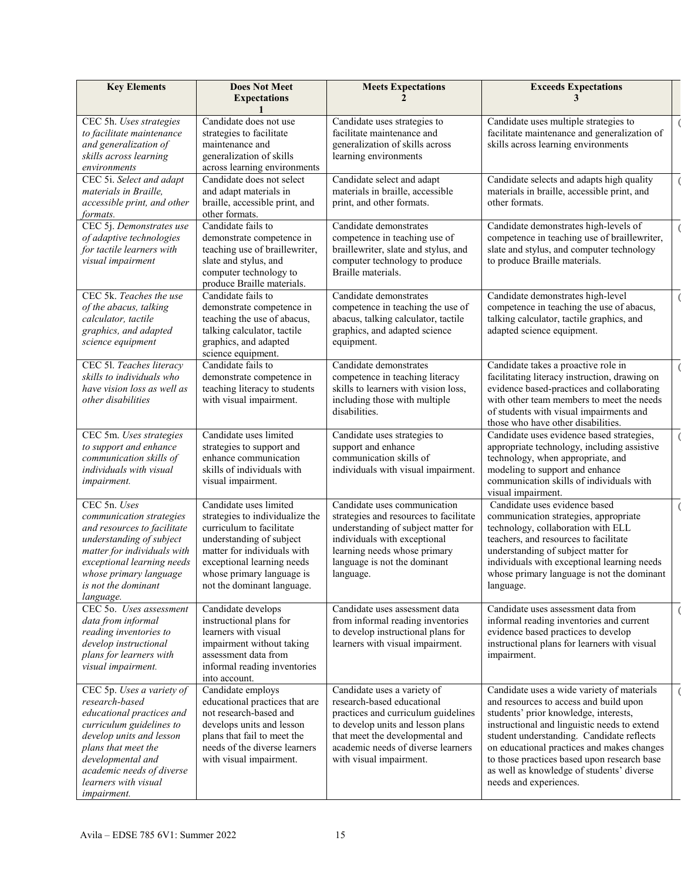| <b>Key Elements</b>                                                                                                                                                                                                                              | <b>Does Not Meet</b><br><b>Expectations</b>                                                                                                                                                                                               | <b>Meets Expectations</b>                                                                                                                                                                                                                 | <b>Exceeds Expectations</b>                                                                                                                                                                                                                                                                                                                                                                    |  |
|--------------------------------------------------------------------------------------------------------------------------------------------------------------------------------------------------------------------------------------------------|-------------------------------------------------------------------------------------------------------------------------------------------------------------------------------------------------------------------------------------------|-------------------------------------------------------------------------------------------------------------------------------------------------------------------------------------------------------------------------------------------|------------------------------------------------------------------------------------------------------------------------------------------------------------------------------------------------------------------------------------------------------------------------------------------------------------------------------------------------------------------------------------------------|--|
| CEC 5h. Uses strategies<br>to facilitate maintenance<br>and generalization of<br>skills across learning<br>environments                                                                                                                          | Candidate does not use<br>strategies to facilitate<br>maintenance and<br>generalization of skills<br>across learning environments                                                                                                         | Candidate uses strategies to<br>facilitate maintenance and<br>generalization of skills across<br>learning environments                                                                                                                    | Candidate uses multiple strategies to<br>facilitate maintenance and generalization of<br>skills across learning environments                                                                                                                                                                                                                                                                   |  |
| CEC 5i. Select and adapt<br>materials in Braille.<br>accessible print, and other<br>formats.                                                                                                                                                     | Candidate does not select<br>and adapt materials in<br>braille, accessible print, and<br>other formats.                                                                                                                                   | Candidate select and adapt<br>materials in braille, accessible<br>print, and other formats.                                                                                                                                               | Candidate selects and adapts high quality<br>materials in braille, accessible print, and<br>other formats.                                                                                                                                                                                                                                                                                     |  |
| CEC 5j. Demonstrates use<br>of adaptive technologies<br>for tactile learners with<br>visual impairment                                                                                                                                           | Candidate fails to<br>demonstrate competence in<br>teaching use of braillewriter,<br>slate and stylus, and<br>computer technology to<br>produce Braille materials.                                                                        | Candidate demonstrates<br>competence in teaching use of<br>braillewriter, slate and stylus, and<br>computer technology to produce<br>Braille materials.                                                                                   | Candidate demonstrates high-levels of<br>competence in teaching use of braillewriter,<br>slate and stylus, and computer technology<br>to produce Braille materials.                                                                                                                                                                                                                            |  |
| CEC 5k. Teaches the use<br>of the abacus, talking<br>calculator, tactile<br>graphics, and adapted<br>science equipment                                                                                                                           | Candidate fails to<br>demonstrate competence in<br>teaching the use of abacus,<br>talking calculator, tactile<br>graphics, and adapted<br>science equipment.                                                                              | Candidate demonstrates<br>competence in teaching the use of<br>abacus, talking calculator, tactile<br>graphics, and adapted science<br>equipment.                                                                                         | Candidate demonstrates high-level<br>competence in teaching the use of abacus,<br>talking calculator, tactile graphics, and<br>adapted science equipment.                                                                                                                                                                                                                                      |  |
| CEC 51. Teaches literacy<br>skills to individuals who<br>have vision loss as well as<br>other disabilities                                                                                                                                       | Candidate fails to<br>demonstrate competence in<br>teaching literacy to students<br>with visual impairment.                                                                                                                               | Candidate demonstrates<br>competence in teaching literacy<br>skills to learners with vision loss,<br>including those with multiple<br>disabilities.                                                                                       | Candidate takes a proactive role in<br>facilitating literacy instruction, drawing on<br>evidence based-practices and collaborating<br>with other team members to meet the needs<br>of students with visual impairments and<br>those who have other disabilities.                                                                                                                               |  |
| CEC 5m. Uses strategies<br>to support and enhance<br>communication skills of<br>individuals with visual<br>impairment.                                                                                                                           | Candidate uses limited<br>strategies to support and<br>enhance communication<br>skills of individuals with<br>visual impairment.                                                                                                          | Candidate uses strategies to<br>support and enhance<br>communication skills of<br>individuals with visual impairment.                                                                                                                     | Candidate uses evidence based strategies,<br>appropriate technology, including assistive<br>technology, when appropriate, and<br>modeling to support and enhance<br>communication skills of individuals with<br>visual impairment.                                                                                                                                                             |  |
| CEC 5n. Uses<br>communication strategies<br>and resources to facilitate<br>understanding of subject<br>matter for individuals with<br>exceptional learning needs<br>whose primary language<br>is not the dominant<br>language.                   | Candidate uses limited<br>strategies to individualize the<br>curriculum to facilitate<br>understanding of subject<br>matter for individuals with<br>exceptional learning needs<br>whose primary language is<br>not the dominant language. | Candidate uses communication<br>strategies and resources to facilitate<br>understanding of subject matter for<br>individuals with exceptional<br>learning needs whose primary<br>language is not the dominant<br>language.                | Candidate uses evidence based<br>communication strategies, appropriate<br>technology, collaboration with ELL<br>teachers, and resources to facilitate<br>understanding of subject matter for<br>individuals with exceptional learning needs<br>whose primary language is not the dominant<br>language.                                                                                         |  |
| CEC 50. Uses assessment<br>data from informal<br>reading inventories to<br>develop instructional<br>plans for learners with<br>visual impairment.                                                                                                | Candidate develops<br>instructional plans for<br>learners with visual<br>impairment without taking<br>assessment data from<br>informal reading inventories<br>into account.                                                               | Candidate uses assessment data<br>from informal reading inventories<br>to develop instructional plans for<br>learners with visual impairment.                                                                                             | Candidate uses assessment data from<br>informal reading inventories and current<br>evidence based practices to develop<br>instructional plans for learners with visual<br>impairment.                                                                                                                                                                                                          |  |
| CEC 5p. Uses a variety of<br>research-based<br>educational practices and<br>curriculum guidelines to<br>develop units and lesson<br>plans that meet the<br>developmental and<br>academic needs of diverse<br>learners with visual<br>impairment. | Candidate employs<br>educational practices that are<br>not research-based and<br>develops units and lesson<br>plans that fail to meet the<br>needs of the diverse learners<br>with visual impairment.                                     | Candidate uses a variety of<br>research-based educational<br>practices and curriculum guidelines<br>to develop units and lesson plans<br>that meet the developmental and<br>academic needs of diverse learners<br>with visual impairment. | Candidate uses a wide variety of materials<br>and resources to access and build upon<br>students' prior knowledge, interests,<br>instructional and linguistic needs to extend<br>student understanding. Candidate reflects<br>on educational practices and makes changes<br>to those practices based upon research base<br>as well as knowledge of students' diverse<br>needs and experiences. |  |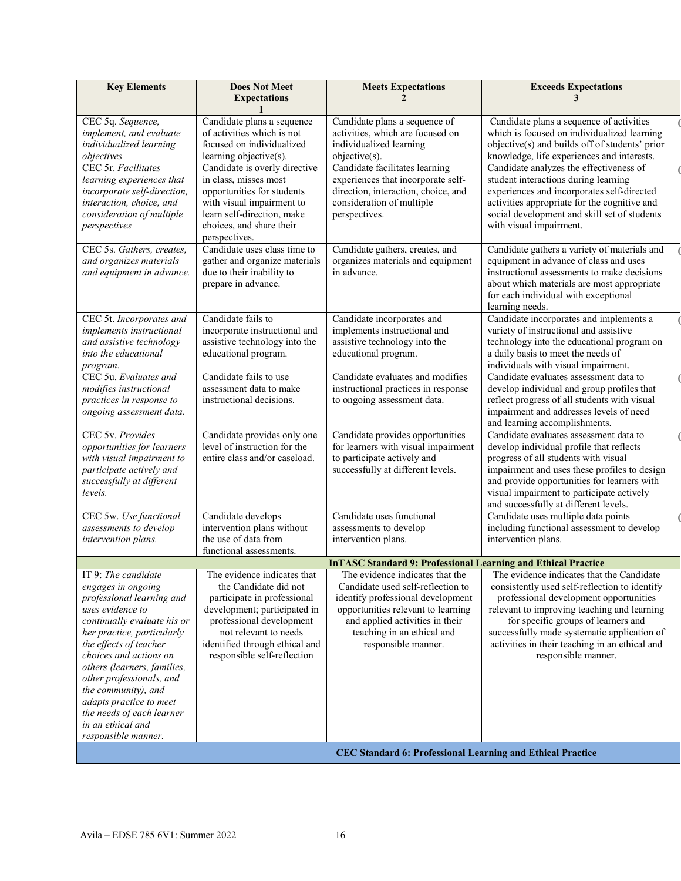| <b>Does Not Meet</b><br><b>Key Elements</b><br><b>Meets Expectations</b><br><b>Exceeds Expectations</b><br><b>Expectations</b><br>CEC 5q. Sequence,<br>Candidate plans a sequence<br>Candidate plans a sequence of<br>Candidate plans a sequence of activities<br>of activities which is not<br>implement, and evaluate<br>activities, which are focused on<br>which is focused on individualized learning<br>individualized learning<br>focused on individualized<br>individualized learning<br>objective(s) and builds off of students' prior<br>knowledge, life experiences and interests.<br>learning objective(s).<br>$objective(s)$ .<br>objectives<br>Candidate facilitates learning<br>CEC 5r. Facilitates<br>Candidate analyzes the effectiveness of<br>Candidate is overly directive<br>experiences that incorporate self-<br>in class, misses most<br>student interactions during learning<br>learning experiences that<br>opportunities for students<br>direction, interaction, choice, and<br>experiences and incorporates self-directed<br>incorporate self-direction,<br>consideration of multiple<br>interaction, choice, and<br>with visual impairment to<br>activities appropriate for the cognitive and<br>consideration of multiple<br>learn self-direction, make<br>perspectives.<br>social development and skill set of students<br>choices, and share their<br>with visual impairment.<br>perspectives<br>perspectives.<br>Candidate uses class time to<br>CEC 5s. Gathers, creates,<br>Candidate gathers, creates, and<br>Candidate gathers a variety of materials and<br>gather and organize materials<br>organizes materials and equipment<br>equipment in advance of class and uses<br>and organizes materials |                                                                                                                                                                                                                                           |                                                                                                                                                                                                      |                                                                                                                                                                                                                                                                                                                                                                                    |  |  |
|-------------------------------------------------------------------------------------------------------------------------------------------------------------------------------------------------------------------------------------------------------------------------------------------------------------------------------------------------------------------------------------------------------------------------------------------------------------------------------------------------------------------------------------------------------------------------------------------------------------------------------------------------------------------------------------------------------------------------------------------------------------------------------------------------------------------------------------------------------------------------------------------------------------------------------------------------------------------------------------------------------------------------------------------------------------------------------------------------------------------------------------------------------------------------------------------------------------------------------------------------------------------------------------------------------------------------------------------------------------------------------------------------------------------------------------------------------------------------------------------------------------------------------------------------------------------------------------------------------------------------------------------------------------------------------------------------------------------------------------------|-------------------------------------------------------------------------------------------------------------------------------------------------------------------------------------------------------------------------------------------|------------------------------------------------------------------------------------------------------------------------------------------------------------------------------------------------------|------------------------------------------------------------------------------------------------------------------------------------------------------------------------------------------------------------------------------------------------------------------------------------------------------------------------------------------------------------------------------------|--|--|
|                                                                                                                                                                                                                                                                                                                                                                                                                                                                                                                                                                                                                                                                                                                                                                                                                                                                                                                                                                                                                                                                                                                                                                                                                                                                                                                                                                                                                                                                                                                                                                                                                                                                                                                                           |                                                                                                                                                                                                                                           |                                                                                                                                                                                                      |                                                                                                                                                                                                                                                                                                                                                                                    |  |  |
|                                                                                                                                                                                                                                                                                                                                                                                                                                                                                                                                                                                                                                                                                                                                                                                                                                                                                                                                                                                                                                                                                                                                                                                                                                                                                                                                                                                                                                                                                                                                                                                                                                                                                                                                           |                                                                                                                                                                                                                                           |                                                                                                                                                                                                      |                                                                                                                                                                                                                                                                                                                                                                                    |  |  |
|                                                                                                                                                                                                                                                                                                                                                                                                                                                                                                                                                                                                                                                                                                                                                                                                                                                                                                                                                                                                                                                                                                                                                                                                                                                                                                                                                                                                                                                                                                                                                                                                                                                                                                                                           |                                                                                                                                                                                                                                           |                                                                                                                                                                                                      |                                                                                                                                                                                                                                                                                                                                                                                    |  |  |
| and equipment in advance.                                                                                                                                                                                                                                                                                                                                                                                                                                                                                                                                                                                                                                                                                                                                                                                                                                                                                                                                                                                                                                                                                                                                                                                                                                                                                                                                                                                                                                                                                                                                                                                                                                                                                                                 | due to their inability to<br>prepare in advance.                                                                                                                                                                                          | in advance.                                                                                                                                                                                          | instructional assessments to make decisions<br>about which materials are most appropriate<br>for each individual with exceptional<br>learning needs.                                                                                                                                                                                                                               |  |  |
| CEC 5t. Incorporates and<br>implements instructional<br>and assistive technology<br>into the educational<br>program.                                                                                                                                                                                                                                                                                                                                                                                                                                                                                                                                                                                                                                                                                                                                                                                                                                                                                                                                                                                                                                                                                                                                                                                                                                                                                                                                                                                                                                                                                                                                                                                                                      | Candidate fails to<br>incorporate instructional and<br>assistive technology into the<br>educational program.                                                                                                                              | Candidate incorporates and<br>implements instructional and<br>assistive technology into the<br>educational program.                                                                                  | Candidate incorporates and implements a<br>variety of instructional and assistive<br>technology into the educational program on<br>a daily basis to meet the needs of<br>individuals with visual impairment.                                                                                                                                                                       |  |  |
| CEC 5u. Evaluates and<br>modifies instructional<br>practices in response to<br>ongoing assessment data.                                                                                                                                                                                                                                                                                                                                                                                                                                                                                                                                                                                                                                                                                                                                                                                                                                                                                                                                                                                                                                                                                                                                                                                                                                                                                                                                                                                                                                                                                                                                                                                                                                   | Candidate fails to use<br>assessment data to make<br>instructional decisions.                                                                                                                                                             | Candidate evaluates and modifies<br>instructional practices in response<br>to ongoing assessment data.                                                                                               | Candidate evaluates assessment data to<br>develop individual and group profiles that<br>reflect progress of all students with visual<br>impairment and addresses levels of need<br>and learning accomplishments.                                                                                                                                                                   |  |  |
| CEC 5v. Provides<br>opportunities for learners<br>with visual impairment to<br>participate actively and<br>successfully at different<br>levels.                                                                                                                                                                                                                                                                                                                                                                                                                                                                                                                                                                                                                                                                                                                                                                                                                                                                                                                                                                                                                                                                                                                                                                                                                                                                                                                                                                                                                                                                                                                                                                                           | Candidate provides only one<br>level of instruction for the<br>entire class and/or caseload.                                                                                                                                              | Candidate provides opportunities<br>for learners with visual impairment<br>to participate actively and<br>successfully at different levels.                                                          | Candidate evaluates assessment data to<br>develop individual profile that reflects<br>progress of all students with visual<br>impairment and uses these profiles to design<br>and provide opportunities for learners with<br>visual impairment to participate actively<br>and successfully at different levels.                                                                    |  |  |
| CEC 5w. Use functional<br>assessments to develop<br>intervention plans.                                                                                                                                                                                                                                                                                                                                                                                                                                                                                                                                                                                                                                                                                                                                                                                                                                                                                                                                                                                                                                                                                                                                                                                                                                                                                                                                                                                                                                                                                                                                                                                                                                                                   | Candidate develops<br>intervention plans without<br>the use of data from<br>functional assessments.                                                                                                                                       | Candidate uses functional<br>assessments to develop<br>intervention plans.                                                                                                                           | Candidate uses multiple data points<br>including functional assessment to develop<br>intervention plans.                                                                                                                                                                                                                                                                           |  |  |
|                                                                                                                                                                                                                                                                                                                                                                                                                                                                                                                                                                                                                                                                                                                                                                                                                                                                                                                                                                                                                                                                                                                                                                                                                                                                                                                                                                                                                                                                                                                                                                                                                                                                                                                                           |                                                                                                                                                                                                                                           | <b>InTASC Standard 9: Professional Learning and Ethical Practice</b>                                                                                                                                 |                                                                                                                                                                                                                                                                                                                                                                                    |  |  |
| IT 9: The candidate<br>engages in ongoing<br>professional learning and<br>uses evidence to<br>continually evaluate his or<br>her practice, particularly<br>the effects of teacher<br>choices and actions on<br>others (learners, families,<br>other professionals, and<br>the community), and<br>adapts practice to meet<br>the needs of each learner<br>in an ethical and<br>responsible manner.                                                                                                                                                                                                                                                                                                                                                                                                                                                                                                                                                                                                                                                                                                                                                                                                                                                                                                                                                                                                                                                                                                                                                                                                                                                                                                                                         | The evidence indicates that<br>the Candidate did not<br>participate in professional<br>development; participated in<br>professional development<br>not relevant to needs<br>identified through ethical and<br>responsible self-reflection | Candidate used self-reflection to<br>identify professional development<br>opportunities relevant to learning<br>and applied activities in their<br>teaching in an ethical and<br>responsible manner. | The evidence indicates that the The evidence indicates that the Candidate<br>consistently used self-reflection to identify<br>professional development opportunities<br>relevant to improving teaching and learning<br>for specific groups of learners and<br>successfully made systematic application of<br>activities in their teaching in an ethical and<br>responsible manner. |  |  |
|                                                                                                                                                                                                                                                                                                                                                                                                                                                                                                                                                                                                                                                                                                                                                                                                                                                                                                                                                                                                                                                                                                                                                                                                                                                                                                                                                                                                                                                                                                                                                                                                                                                                                                                                           |                                                                                                                                                                                                                                           | <b>CEC Standard 6: Professional Learning and Ethical Practice</b>                                                                                                                                    |                                                                                                                                                                                                                                                                                                                                                                                    |  |  |
|                                                                                                                                                                                                                                                                                                                                                                                                                                                                                                                                                                                                                                                                                                                                                                                                                                                                                                                                                                                                                                                                                                                                                                                                                                                                                                                                                                                                                                                                                                                                                                                                                                                                                                                                           |                                                                                                                                                                                                                                           |                                                                                                                                                                                                      |                                                                                                                                                                                                                                                                                                                                                                                    |  |  |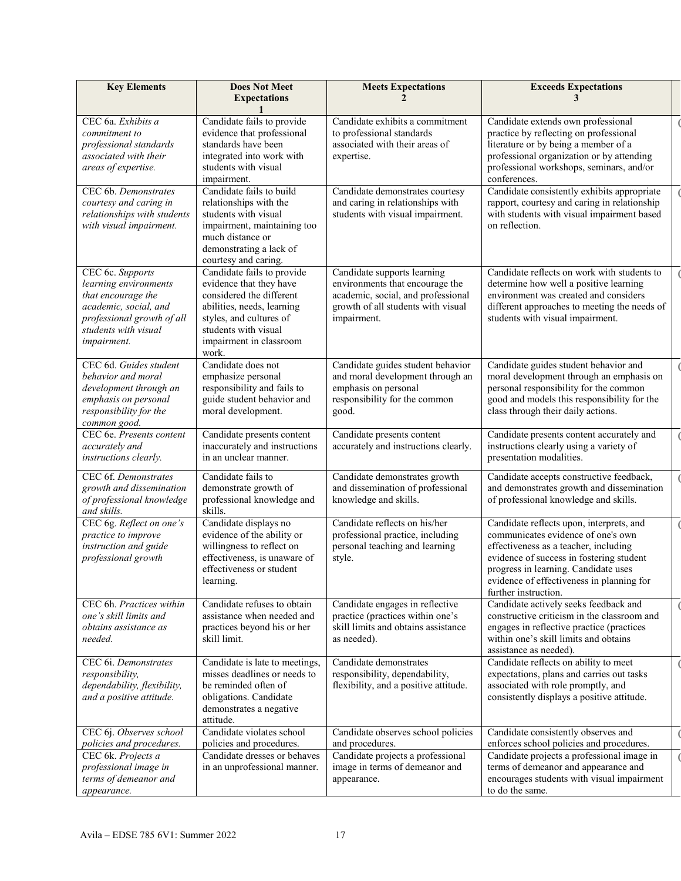| <b>Key Elements</b>                                                                                                                                           | <b>Does Not Meet</b><br><b>Expectations</b>                                                                                                                                                            | <b>Meets Expectations</b>                                                                                                                                 | <b>Exceeds Expectations</b><br>3                                                                                                                                                                                                                                                 |  |
|---------------------------------------------------------------------------------------------------------------------------------------------------------------|--------------------------------------------------------------------------------------------------------------------------------------------------------------------------------------------------------|-----------------------------------------------------------------------------------------------------------------------------------------------------------|----------------------------------------------------------------------------------------------------------------------------------------------------------------------------------------------------------------------------------------------------------------------------------|--|
| CEC 6a. Exhibits a<br>commitment to<br>professional standards<br>associated with their<br>areas of expertise.                                                 | Candidate fails to provide<br>evidence that professional<br>standards have been<br>integrated into work with<br>students with visual<br>impairment.                                                    | Candidate exhibits a commitment<br>to professional standards<br>associated with their areas of<br>expertise.                                              | Candidate extends own professional<br>practice by reflecting on professional<br>literature or by being a member of a<br>professional organization or by attending<br>professional workshops, seminars, and/or<br>conferences.                                                    |  |
| CEC 6b. Demonstrates<br>courtesy and caring in<br>relationships with students<br>with visual impairment.                                                      | Candidate fails to build<br>relationships with the<br>students with visual<br>impairment, maintaining too<br>much distance or<br>demonstrating a lack of<br>courtesy and caring.                       | Candidate demonstrates courtesy<br>and caring in relationships with<br>students with visual impairment.                                                   | Candidate consistently exhibits appropriate<br>rapport, courtesy and caring in relationship<br>with students with visual impairment based<br>on reflection.                                                                                                                      |  |
| CEC 6c. Supports<br>learning environments<br>that encourage the<br>academic, social, and<br>professional growth of all<br>students with visual<br>impairment. | Candidate fails to provide<br>evidence that they have<br>considered the different<br>abilities, needs, learning<br>styles, and cultures of<br>students with visual<br>impairment in classroom<br>work. | Candidate supports learning<br>environments that encourage the<br>academic, social, and professional<br>growth of all students with visual<br>impairment. | Candidate reflects on work with students to<br>determine how well a positive learning<br>environment was created and considers<br>different approaches to meeting the needs of<br>students with visual impairment.                                                               |  |
| CEC 6d. Guides student<br>behavior and moral<br>development through an<br>emphasis on personal<br>responsibility for the<br>common good.                      | Candidate does not<br>emphasize personal<br>responsibility and fails to<br>guide student behavior and<br>moral development.                                                                            | Candidate guides student behavior<br>and moral development through an<br>emphasis on personal<br>responsibility for the common<br>good.                   | Candidate guides student behavior and<br>moral development through an emphasis on<br>personal responsibility for the common<br>good and models this responsibility for the<br>class through their daily actions.                                                                 |  |
| CEC 6e. Presents content<br>accurately and<br>instructions clearly.                                                                                           | Candidate presents content<br>inaccurately and instructions<br>in an unclear manner.                                                                                                                   | Candidate presents content<br>accurately and instructions clearly.                                                                                        | Candidate presents content accurately and<br>instructions clearly using a variety of<br>presentation modalities.                                                                                                                                                                 |  |
| CEC 6f. Demonstrates<br>growth and dissemination<br>of professional knowledge<br>and skills.                                                                  | Candidate fails to<br>demonstrate growth of<br>professional knowledge and<br>skills.                                                                                                                   | Candidate demonstrates growth<br>and dissemination of professional<br>knowledge and skills.                                                               | Candidate accepts constructive feedback,<br>and demonstrates growth and dissemination<br>of professional knowledge and skills.                                                                                                                                                   |  |
| CEC 6g. Reflect on one's<br>practice to improve<br>instruction and guide<br>professional growth                                                               | Candidate displays no<br>evidence of the ability or<br>willingness to reflect on<br>effectiveness, is unaware of<br>effectiveness or student<br>learning.                                              | Candidate reflects on his/her<br>professional practice, including<br>personal teaching and learning<br>style.                                             | Candidate reflects upon, interprets, and<br>communicates evidence of one's own<br>effectiveness as a teacher, including<br>evidence of success in fostering student<br>progress in learning. Candidate uses<br>evidence of effectiveness in planning for<br>further instruction. |  |
| CEC 6h. Practices within<br>one's skill limits and<br>obtains assistance as<br>needed.                                                                        | Candidate refuses to obtain<br>assistance when needed and<br>practices beyond his or her<br>skill limit.                                                                                               | Candidate engages in reflective<br>practice (practices within one's<br>skill limits and obtains assistance<br>as needed).                                 | Candidate actively seeks feedback and<br>constructive criticism in the classroom and<br>engages in reflective practice (practices<br>within one's skill limits and obtains<br>assistance as needed).                                                                             |  |
| CEC 6i. Demonstrates<br>responsibility,<br>dependability, flexibility,<br>and a positive attitude.                                                            | Candidate is late to meetings,<br>misses deadlines or needs to<br>be reminded often of<br>obligations. Candidate<br>demonstrates a negative<br>attitude.                                               | Candidate demonstrates<br>responsibility, dependability,<br>flexibility, and a positive attitude.                                                         | Candidate reflects on ability to meet<br>expectations, plans and carries out tasks<br>associated with role promptly, and<br>consistently displays a positive attitude.                                                                                                           |  |
| CEC 6j. Observes school<br>policies and procedures.<br>CEC 6k. Projects a                                                                                     | Candidate violates school<br>policies and procedures.<br>Candidate dresses or behaves                                                                                                                  | Candidate observes school policies<br>and procedures.<br>Candidate projects a professional<br>image in terms of demeanor and                              | Candidate consistently observes and<br>enforces school policies and procedures.<br>Candidate projects a professional image in<br>terms of demeanor and appearance and                                                                                                            |  |
| professional image in<br>terms of demeanor and<br>appearance.                                                                                                 | in an unprofessional manner.                                                                                                                                                                           | appearance.                                                                                                                                               | encourages students with visual impairment<br>to do the same.                                                                                                                                                                                                                    |  |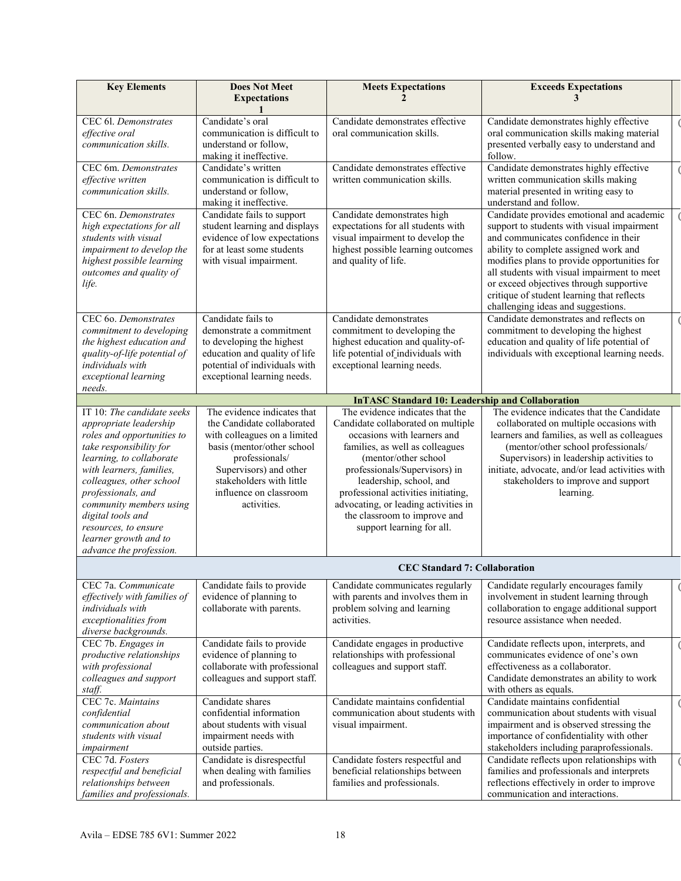| <b>Key Elements</b>                                                                                                                                                                                                                                                                                                                                 | <b>Does Not Meet</b><br><b>Expectations</b>                                                                                                                                                                                              | <b>Meets Expectations</b>                                                                                                                                                                                                                                                                                                                                               | <b>Exceeds Expectations</b><br>3                                                                                                                                                                                                                                                                                                                                                                      |
|-----------------------------------------------------------------------------------------------------------------------------------------------------------------------------------------------------------------------------------------------------------------------------------------------------------------------------------------------------|------------------------------------------------------------------------------------------------------------------------------------------------------------------------------------------------------------------------------------------|-------------------------------------------------------------------------------------------------------------------------------------------------------------------------------------------------------------------------------------------------------------------------------------------------------------------------------------------------------------------------|-------------------------------------------------------------------------------------------------------------------------------------------------------------------------------------------------------------------------------------------------------------------------------------------------------------------------------------------------------------------------------------------------------|
| CEC 61. Demonstrates<br>effective oral<br>communication skills.                                                                                                                                                                                                                                                                                     | Candidate's oral<br>communication is difficult to<br>understand or follow,<br>making it ineffective.                                                                                                                                     | Candidate demonstrates effective<br>oral communication skills.                                                                                                                                                                                                                                                                                                          | Candidate demonstrates highly effective<br>oral communication skills making material<br>presented verbally easy to understand and<br>follow.                                                                                                                                                                                                                                                          |
| CEC 6m. Demonstrates<br>effective written<br>communication skills.                                                                                                                                                                                                                                                                                  | Candidate's written<br>communication is difficult to<br>understand or follow,<br>making it ineffective.                                                                                                                                  | Candidate demonstrates effective<br>written communication skills.                                                                                                                                                                                                                                                                                                       | Candidate demonstrates highly effective<br>written communication skills making<br>material presented in writing easy to<br>understand and follow.                                                                                                                                                                                                                                                     |
| CEC 6n. Demonstrates<br>high expectations for all<br>students with visual<br>impairment to develop the<br>highest possible learning<br>outcomes and quality of<br>life.                                                                                                                                                                             | Candidate fails to support<br>student learning and displays<br>evidence of low expectations<br>for at least some students<br>with visual impairment.                                                                                     | Candidate demonstrates high<br>expectations for all students with<br>visual impairment to develop the<br>highest possible learning outcomes<br>and quality of life.                                                                                                                                                                                                     | Candidate provides emotional and academic<br>support to students with visual impairment<br>and communicates confidence in their<br>ability to complete assigned work and<br>modifies plans to provide opportunities for<br>all students with visual impairment to meet<br>or exceed objectives through supportive<br>critique of student learning that reflects<br>challenging ideas and suggestions. |
| CEC 60. Demonstrates<br>commitment to developing<br>the highest education and<br>quality-of-life potential of<br>individuals with<br>exceptional learning<br>needs.                                                                                                                                                                                 | Candidate fails to<br>demonstrate a commitment<br>to developing the highest<br>education and quality of life<br>potential of individuals with<br>exceptional learning needs.                                                             | Candidate demonstrates<br>commitment to developing the<br>highest education and quality-of-<br>life potential of individuals with<br>exceptional learning needs.                                                                                                                                                                                                        | Candidate demonstrates and reflects on<br>commitment to developing the highest<br>education and quality of life potential of<br>individuals with exceptional learning needs.                                                                                                                                                                                                                          |
|                                                                                                                                                                                                                                                                                                                                                     |                                                                                                                                                                                                                                          | <b>InTASC Standard 10: Leadership and Collaboration</b>                                                                                                                                                                                                                                                                                                                 |                                                                                                                                                                                                                                                                                                                                                                                                       |
| IT 10: The candidate seeks<br>appropriate leadership<br>roles and opportunities to<br>take responsibility for<br>learning, to collaborate<br>with learners, families,<br>colleagues, other school<br>professionals, and<br>community members using<br>digital tools and<br>resources, to ensure<br>learner growth and to<br>advance the profession. | The evidence indicates that<br>the Candidate collaborated<br>with colleagues on a limited<br>basis (mentor/other school<br>professionals/<br>Supervisors) and other<br>stakeholders with little<br>influence on classroom<br>activities. | The evidence indicates that the<br>Candidate collaborated on multiple<br>occasions with learners and<br>families, as well as colleagues<br>(mentor/other school<br>professionals/Supervisors) in<br>leadership, school, and<br>professional activities initiating,<br>advocating, or leading activities in<br>the classroom to improve and<br>support learning for all. | The evidence indicates that the Candidate<br>collaborated on multiple occasions with<br>learners and families, as well as colleagues<br>(mentor/other school professionals/<br>Supervisors) in leadership activities to<br>initiate, advocate, and/or lead activities with<br>stakeholders to improve and support<br>learning.                                                                        |
|                                                                                                                                                                                                                                                                                                                                                     |                                                                                                                                                                                                                                          | <b>CEC Standard 7: Collaboration</b>                                                                                                                                                                                                                                                                                                                                    |                                                                                                                                                                                                                                                                                                                                                                                                       |
| CEC 7a. Communicate<br>effectively with families of<br>individuals with<br>exceptionalities from<br>diverse backgrounds.                                                                                                                                                                                                                            | Candidate fails to provide<br>evidence of planning to<br>collaborate with parents.                                                                                                                                                       | Candidate communicates regularly<br>with parents and involves them in<br>problem solving and learning<br>activities.                                                                                                                                                                                                                                                    | Candidate regularly encourages family<br>involvement in student learning through<br>collaboration to engage additional support<br>resource assistance when needed.                                                                                                                                                                                                                                    |
| CEC 7b. Engages in<br>productive relationships<br>with professional<br>colleagues and support<br>staff.                                                                                                                                                                                                                                             | Candidate fails to provide<br>evidence of planning to<br>collaborate with professional<br>colleagues and support staff.                                                                                                                  | Candidate engages in productive<br>relationships with professional<br>colleagues and support staff.                                                                                                                                                                                                                                                                     | Candidate reflects upon, interprets, and<br>communicates evidence of one's own<br>effectiveness as a collaborator.<br>Candidate demonstrates an ability to work<br>with others as equals.                                                                                                                                                                                                             |
| CEC 7c. Maintains<br>confidential<br>communication about<br>students with visual<br>impairment                                                                                                                                                                                                                                                      | Candidate shares<br>confidential information<br>about students with visual<br>impairment needs with<br>outside parties.                                                                                                                  | Candidate maintains confidential<br>communication about students with<br>visual impairment.                                                                                                                                                                                                                                                                             | Candidate maintains confidential<br>communication about students with visual<br>impairment and is observed stressing the<br>importance of confidentiality with other<br>stakeholders including paraprofessionals.                                                                                                                                                                                     |
| CEC 7d. Fosters<br>respectful and beneficial<br>relationships between<br>families and professionals.                                                                                                                                                                                                                                                | Candidate is disrespectful<br>when dealing with families<br>and professionals.                                                                                                                                                           | Candidate fosters respectful and<br>beneficial relationships between<br>families and professionals.                                                                                                                                                                                                                                                                     | Candidate reflects upon relationships with<br>families and professionals and interprets<br>reflections effectively in order to improve<br>communication and interactions.                                                                                                                                                                                                                             |